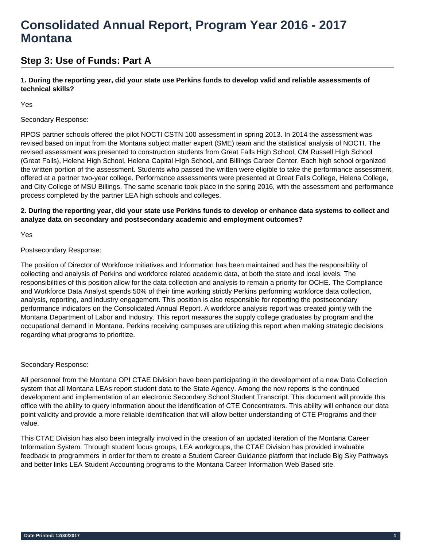# **Consolidated Annual Report, Program Year 2016 - 2017 Montana**

## **Step 3: Use of Funds: Part A**

**1. During the reporting year, did your state use Perkins funds to develop valid and reliable assessments of technical skills?** 

Yes

## Secondary Response:

RPOS partner schools offered the pilot NOCTI CSTN 100 assessment in spring 2013. In 2014 the assessment was revised based on input from the Montana subject matter expert (SME) team and the statistical analysis of NOCTI. The revised assessment was presented to construction students from Great Falls High School, CM Russell High School (Great Falls), Helena High School, Helena Capital High School, and Billings Career Center. Each high school organized the written portion of the assessment. Students who passed the written were eligible to take the performance assessment, offered at a partner two-year college. Performance assessments were presented at Great Falls College, Helena College, and City College of MSU Billings. The same scenario took place in the spring 2016, with the assessment and performance process completed by the partner LEA high schools and colleges.

## **2. During the reporting year, did your state use Perkins funds to develop or enhance data systems to collect and analyze data on secondary and postsecondary academic and employment outcomes?**

Yes

## Postsecondary Response:

The position of Director of Workforce Initiatives and Information has been maintained and has the responsibility of collecting and analysis of Perkins and workforce related academic data, at both the state and local levels. The responsibilities of this position allow for the data collection and analysis to remain a priority for OCHE. The Compliance and Workforce Data Analyst spends 50% of their time working strictly Perkins performing workforce data collection, analysis, reporting, and industry engagement. This position is also responsible for reporting the postsecondary performance indicators on the Consolidated Annual Report. A workforce analysis report was created jointly with the Montana Department of Labor and Industry. This report measures the supply college graduates by program and the occupational demand in Montana. Perkins receiving campuses are utilizing this report when making strategic decisions regarding what programs to prioritize.

## Secondary Response:

All personnel from the Montana OPI CTAE Division have been participating in the development of a new Data Collection system that all Montana LEAs report student data to the State Agency. Among the new reports is the continued development and implementation of an electronic Secondary School Student Transcript. This document will provide this office with the ability to query information about the identification of CTE Concentrators. This ability will enhance our data point validity and provide a more reliable identification that will allow better understanding of CTE Programs and their value.

This CTAE Division has also been integrally involved in the creation of an updated iteration of the Montana Career Information System. Through student focus groups, LEA workgroups, the CTAE Division has provided invaluable feedback to programmers in order for them to create a Student Career Guidance platform that include Big Sky Pathways and better links LEA Student Accounting programs to the Montana Career Information Web Based site.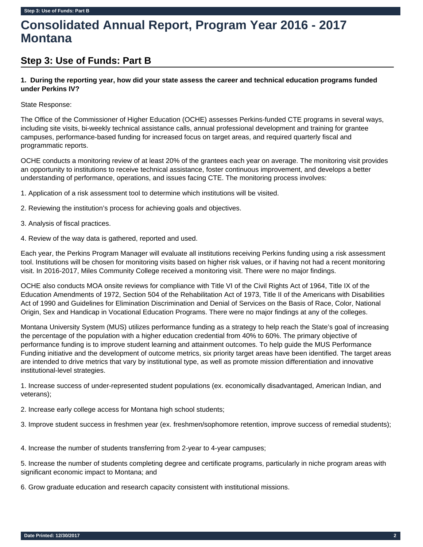# **Consolidated Annual Report, Program Year 2016 - 2017 Montana**

## **Step 3: Use of Funds: Part B**

## **1. During the reporting year, how did your state assess the career and technical education programs funded under Perkins IV?**

## State Response:

The Office of the Commissioner of Higher Education (OCHE) assesses Perkins-funded CTE programs in several ways, including site visits, bi-weekly technical assistance calls, annual professional development and training for grantee campuses, performance-based funding for increased focus on target areas, and required quarterly fiscal and programmatic reports.

OCHE conducts a monitoring review of at least 20% of the grantees each year on average. The monitoring visit provides an opportunity to institutions to receive technical assistance, foster continuous improvement, and develops a better understanding of performance, operations, and issues facing CTE. The monitoring process involves:

1. Application of a risk assessment tool to determine which institutions will be visited.

- 2. Reviewing the institution's process for achieving goals and objectives.
- 3. Analysis of fiscal practices.
- 4. Review of the way data is gathered, reported and used.

Each year, the Perkins Program Manager will evaluate all institutions receiving Perkins funding using a risk assessment tool. Institutions will be chosen for monitoring visits based on higher risk values, or if having not had a recent monitoring visit. In 2016-2017, Miles Community College received a monitoring visit. There were no major findings.

OCHE also conducts MOA onsite reviews for compliance with Title VI of the Civil Rights Act of 1964, Title IX of the Education Amendments of 1972, Section 504 of the Rehabilitation Act of 1973, Title II of the Americans with Disabilities Act of 1990 and Guidelines for Elimination Discrimination and Denial of Services on the Basis of Race, Color, National Origin, Sex and Handicap in Vocational Education Programs. There were no major findings at any of the colleges.

Montana University System (MUS) utilizes performance funding as a strategy to help reach the State's goal of increasing the percentage of the population with a higher education credential from 40% to 60%. The primary objective of performance funding is to improve student learning and attainment outcomes. To help guide the MUS Performance Funding initiative and the development of outcome metrics, six priority target areas have been identified. The target areas are intended to drive metrics that vary by institutional type, as well as promote mission differentiation and innovative institutional-level strategies.

1. Increase success of under-represented student populations (ex. economically disadvantaged, American Indian, and veterans);

2. Increase early college access for Montana high school students;

3. Improve student success in freshmen year (ex. freshmen/sophomore retention, improve success of remedial students);

4. Increase the number of students transferring from 2-year to 4-year campuses;

5. Increase the number of students completing degree and certificate programs, particularly in niche program areas with significant economic impact to Montana; and

6. Grow graduate education and research capacity consistent with institutional missions.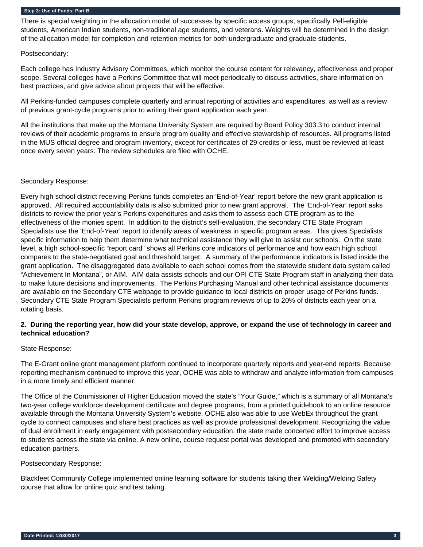There is special weighting in the allocation model of successes by specific access groups, specifically Pell-eligible students, American Indian students, non-traditional age students, and veterans. Weights will be determined in the design of the allocation model for completion and retention metrics for both undergraduate and graduate students.

## Postsecondary:

Each college has Industry Advisory Committees, which monitor the course content for relevancy, effectiveness and proper scope. Several colleges have a Perkins Committee that will meet periodically to discuss activities, share information on best practices, and give advice about projects that will be effective.

All Perkins-funded campuses complete quarterly and annual reporting of activities and expenditures, as well as a review of previous grant-cycle programs prior to writing their grant application each year.

All the institutions that make up the Montana University System are required by Board Policy 303.3 to conduct internal reviews of their academic programs to ensure program quality and effective stewardship of resources. All programs listed in the MUS official degree and program inventory, except for certificates of 29 credits or less, must be reviewed at least once every seven years. The review schedules are filed with OCHE.

#### Secondary Response:

Every high school district receiving Perkins funds completes an 'End-of-Year' report before the new grant application is approved. All required accountability data is also submitted prior to new grant approval. The 'End-of-Year' report asks districts to review the prior year's Perkins expenditures and asks them to assess each CTE program as to the effectiveness of the monies spent. In addition to the district's self-evaluation, the secondary CTE State Program Specialists use the 'End-of-Year' report to identify areas of weakness in specific program areas. This gives Specialists specific information to help them determine what technical assistance they will give to assist our schools. On the state level, a high school-specific "report card" shows all Perkins core indicators of performance and how each high school compares to the state-negotiated goal and threshold target. A summary of the performance indicators is listed inside the grant application. The disaggregated data available to each school comes from the statewide student data system called "Achievement In Montana", or AIM. AIM data assists schools and our OPI CTE State Program staff in analyzing their data to make future decisions and improvements. The Perkins Purchasing Manual and other technical assistance documents are available on the Secondary CTE webpage to provide guidance to local districts on proper usage of Perkins funds. Secondary CTE State Program Specialists perform Perkins program reviews of up to 20% of districts each year on a rotating basis.

## **2. During the reporting year, how did your state develop, approve, or expand the use of technology in career and technical education?**

## State Response:

The E-Grant online grant management platform continued to incorporate quarterly reports and year-end reports. Because reporting mechanism continued to improve this year, OCHE was able to withdraw and analyze information from campuses in a more timely and efficient manner.

The Office of the Commissioner of Higher Education moved the state's "Your Guide," which is a summary of all Montana's two-year college workforce development certificate and degree programs, from a printed guidebook to an online resource available through the Montana University System's website. OCHE also was able to use WebEx throughout the grant cycle to connect campuses and share best practices as well as provide professional development. Recognizing the value of dual enrollment in early engagement with postsecondary education, the state made concerted effort to improve access to students across the state via online. A new online, course request portal was developed and promoted with secondary education partners.

## Postsecondary Response:

Blackfeet Community College implemented online learning software for students taking their Welding/Welding Safety course that allow for online quiz and test taking.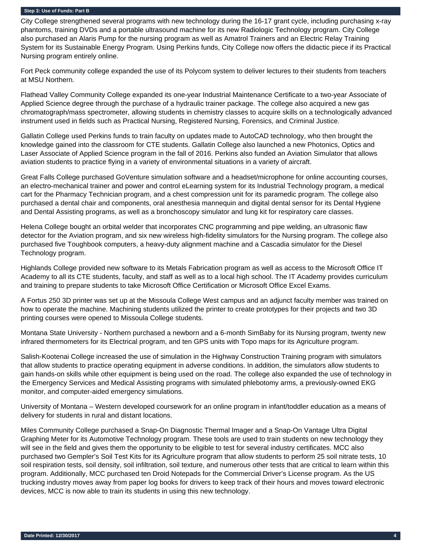City College strengthened several programs with new technology during the 16-17 grant cycle, including purchasing x-ray phantoms, training DVDs and a portable ultrasound machine for its new Radiologic Technology program. City College also purchased an Alaris Pump for the nursing program as well as Amatrol Trainers and an Electric Relay Training System for its Sustainable Energy Program. Using Perkins funds, City College now offers the didactic piece if its Practical Nursing program entirely online.

Fort Peck community college expanded the use of its Polycom system to deliver lectures to their students from teachers at MSU Northern.

Flathead Valley Community College expanded its one-year Industrial Maintenance Certificate to a two-year Associate of Applied Science degree through the purchase of a hydraulic trainer package. The college also acquired a new gas chromatograph/mass spectrometer, allowing students in chemistry classes to acquire skills on a technologically advanced instrument used in fields such as Practical Nursing, Registered Nursing, Forensics, and Criminal Justice.

Gallatin College used Perkins funds to train faculty on updates made to AutoCAD technology, who then brought the knowledge gained into the classroom for CTE students. Gallatin College also launched a new Photonics, Optics and Laser Associate of Applied Science program in the fall of 2016. Perkins also funded an Aviation Simulator that allows aviation students to practice flying in a variety of environmental situations in a variety of aircraft.

Great Falls College purchased GoVenture simulation software and a headset/microphone for online accounting courses, an electro-mechanical trainer and power and control eLearning system for its Industrial Technology program, a medical cart for the Pharmacy Technician program, and a chest compression unit for its paramedic program. The college also purchased a dental chair and components, oral anesthesia mannequin and digital dental sensor for its Dental Hygiene and Dental Assisting programs, as well as a bronchoscopy simulator and lung kit for respiratory care classes.

Helena College bought an orbital welder that incorporates CNC programming and pipe welding, an ultrasonic flaw detector for the Aviation program, and six new wireless high-fidelity simulators for the Nursing program. The college also purchased five Toughbook computers, a heavy-duty alignment machine and a Cascadia simulator for the Diesel Technology program.

Highlands College provided new software to its Metals Fabrication program as well as access to the Microsoft Office IT Academy to all its CTE students, faculty, and staff as well as to a local high school. The IT Academy provides curriculum and training to prepare students to take Microsoft Office Certification or Microsoft Office Excel Exams.

A Fortus 250 3D printer was set up at the Missoula College West campus and an adjunct faculty member was trained on how to operate the machine. Machining students utilized the printer to create prototypes for their projects and two 3D printing courses were opened to Missoula College students.

Montana State University - Northern purchased a newborn and a 6-month SimBaby for its Nursing program, twenty new infrared thermometers for its Electrical program, and ten GPS units with Topo maps for its Agriculture program.

Salish-Kootenai College increased the use of simulation in the Highway Construction Training program with simulators that allow students to practice operating equipment in adverse conditions. In addition, the simulators allow students to gain hands-on skills while other equipment is being used on the road. The college also expanded the use of technology in the Emergency Services and Medical Assisting programs with simulated phlebotomy arms, a previously-owned EKG monitor, and computer-aided emergency simulations.

University of Montana – Western developed coursework for an online program in infant/toddler education as a means of delivery for students in rural and distant locations.

Miles Community College purchased a Snap-On Diagnostic Thermal Imager and a Snap-On Vantage Ultra Digital Graphing Meter for its Automotive Technology program. These tools are used to train students on new technology they will see in the field and gives them the opportunity to be eligible to test for several industry certificates. MCC also purchased two Gempler's Soil Test Kits for its Agriculture program that allow students to perform 25 soil nitrate tests, 10 soil respiration tests, soil density, soil infiltration, soil texture, and numerous other tests that are critical to learn within this program. Additionally, MCC purchased ten Droid Notepads for the Commercial Driver's License program. As the US trucking industry moves away from paper log books for drivers to keep track of their hours and moves toward electronic devices, MCC is now able to train its students in using this new technology.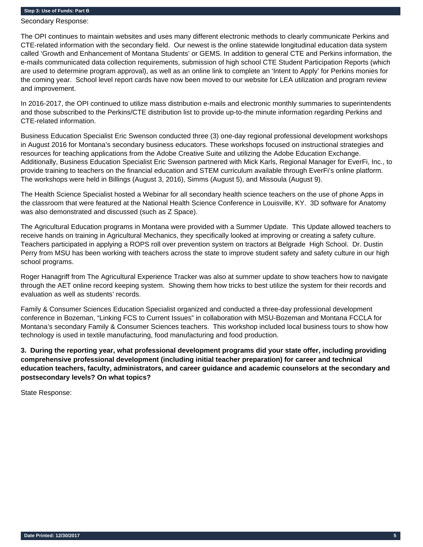Secondary Response:

The OPI continues to maintain websites and uses many different electronic methods to clearly communicate Perkins and CTE-related information with the secondary field. Our newest is the online statewide longitudinal education data system called 'Growth and Enhancement of Montana Students' or GEMS. In addition to general CTE and Perkins information, the e-mails communicated data collection requirements, submission of high school CTE Student Participation Reports (which are used to determine program approval), as well as an online link to complete an 'Intent to Apply' for Perkins monies for the coming year. School level report cards have now been moved to our website for LEA utilization and program review and improvement.

In 2016-2017, the OPI continued to utilize mass distribution e-mails and electronic monthly summaries to superintendents and those subscribed to the Perkins/CTE distribution list to provide up-to-the minute information regarding Perkins and CTE-related information.

Business Education Specialist Eric Swenson conducted three (3) one-day regional professional development workshops in August 2016 for Montana's secondary business educators. These workshops focused on instructional strategies and resources for teaching applications from the Adobe Creative Suite and utilizing the Adobe Education Exchange. Additionally, Business Education Specialist Eric Swenson partnered with Mick Karls, Regional Manager for EverFi, Inc., to provide training to teachers on the financial education and STEM curriculum available through EverFi's online platform. The workshops were held in Billings (August 3, 2016), Simms (August 5), and Missoula (August 9).

The Health Science Specialist hosted a Webinar for all secondary health science teachers on the use of phone Apps in the classroom that were featured at the National Health Science Conference in Louisville, KY. 3D software for Anatomy was also demonstrated and discussed (such as Z Space).

The Agricultural Education programs in Montana were provided with a Summer Update. This Update allowed teachers to receive hands on training in Agricultural Mechanics, they specifically looked at improving or creating a safety culture. Teachers participated in applying a ROPS roll over prevention system on tractors at Belgrade High School. Dr. Dustin Perry from MSU has been working with teachers across the state to improve student safety and safety culture in our high school programs.

Roger Hanagriff from The Agricultural Experience Tracker was also at summer update to show teachers how to navigate through the AET online record keeping system. Showing them how tricks to best utilize the system for their records and evaluation as well as students' records.

Family & Consumer Sciences Education Specialist organized and conducted a three-day professional development conference in Bozeman, "Linking FCS to Current Issues" in collaboration with MSU-Bozeman and Montana FCCLA for Montana's secondary Family & Consumer Sciences teachers. This workshop included local business tours to show how technology is used in textile manufacturing, food manufacturing and food production.

**3. During the reporting year, what professional development programs did your state offer, including providing comprehensive professional development (including initial teacher preparation) for career and technical education teachers, faculty, administrators, and career guidance and academic counselors at the secondary and postsecondary levels? On what topics?** 

State Response: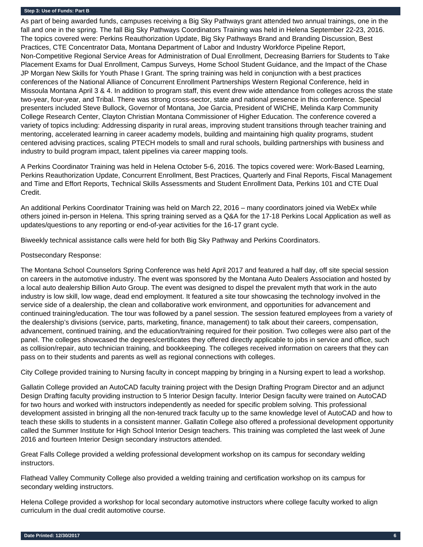As part of being awarded funds, campuses receiving a Big Sky Pathways grant attended two annual trainings, one in the fall and one in the spring. The fall Big Sky Pathways Coordinators Training was held in Helena September 22-23, 2016. The topics covered were: Perkins Reauthorization Update, Big Sky Pathways Brand and Branding Discussion, Best Practices, CTE Concentrator Data, Montana Department of Labor and Industry Workforce Pipeline Report, Non-Competitive Regional Service Areas for Administration of Dual Enrollment, Decreasing Barriers for Students to Take Placement Exams for Dual Enrollment, Campus Surveys, Home School Student Guidance, and the Impact of the Chase JP Morgan New Skills for Youth Phase I Grant. The spring training was held in conjunction with a best practices conferences of the National Alliance of Concurrent Enrollment Partnerships Western Regional Conference, held in Missoula Montana April 3 & 4. In addition to program staff, this event drew wide attendance from colleges across the state two-year, four-year, and Tribal. There was strong cross-sector, state and national presence in this conference. Special presenters included Steve Bullock, Governor of Montana, Joe Garcia, President of WICHE, Melinda Karp Community College Research Center, Clayton Christian Montana Commissioner of Higher Education. The conference covered a variety of topics including: Addressing disparity in rural areas, improving student transitions through teacher training and mentoring, accelerated learning in career academy models, building and maintaining high quality programs, student centered advising practices, scaling PTECH models to small and rural schools, building partnerships with business and industry to build program impact, talent pipelines via career mapping tools.

A Perkins Coordinator Training was held in Helena October 5-6, 2016. The topics covered were: Work-Based Learning, Perkins Reauthorization Update, Concurrent Enrollment, Best Practices, Quarterly and Final Reports, Fiscal Management and Time and Effort Reports, Technical Skills Assessments and Student Enrollment Data, Perkins 101 and CTE Dual Credit.

An additional Perkins Coordinator Training was held on March 22, 2016 – many coordinators joined via WebEx while others joined in-person in Helena. This spring training served as a Q&A for the 17-18 Perkins Local Application as well as updates/questions to any reporting or end-of-year activities for the 16-17 grant cycle.

Biweekly technical assistance calls were held for both Big Sky Pathway and Perkins Coordinators.

#### Postsecondary Response:

The Montana School Counselors Spring Conference was held April 2017 and featured a half day, off site special session on careers in the automotive industry. The event was sponsored by the Montana Auto Dealers Association and hosted by a local auto dealership Billion Auto Group. The event was designed to dispel the prevalent myth that work in the auto industry is low skill, low wage, dead end employment. It featured a site tour showcasing the technology involved in the service side of a dealership, the clean and collaborative work environment, and opportunities for advancement and continued training/education. The tour was followed by a panel session. The session featured employees from a variety of the dealership's divisions (service, parts, marketing, finance, management) to talk about their careers, compensation, advancement, continued training, and the education/training required for their position. Two colleges were also part of the panel. The colleges showcased the degrees/certificates they offered directly applicable to jobs in service and office, such as collision/repair, auto technician training, and bookkeeping. The colleges received information on careers that they can pass on to their students and parents as well as regional connections with colleges.

City College provided training to Nursing faculty in concept mapping by bringing in a Nursing expert to lead a workshop.

Gallatin College provided an AutoCAD faculty training project with the Design Drafting Program Director and an adjunct Design Drafting faculty providing instruction to 5 Interior Design faculty. Interior Design faculty were trained on AutoCAD for two hours and worked with instructors independently as needed for specific problem solving. This professional development assisted in bringing all the non-tenured track faculty up to the same knowledge level of AutoCAD and how to teach these skills to students in a consistent manner. Gallatin College also offered a professional development opportunity called the Summer Institute for High School Interior Design teachers. This training was completed the last week of June 2016 and fourteen Interior Design secondary instructors attended.

Great Falls College provided a welding professional development workshop on its campus for secondary welding instructors.

Flathead Valley Community College also provided a welding training and certification workshop on its campus for secondary welding instructors.

Helena College provided a workshop for local secondary automotive instructors where college faculty worked to align curriculum in the dual credit automotive course.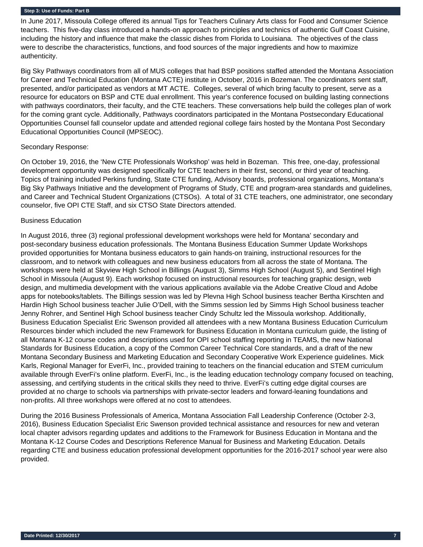In June 2017, Missoula College offered its annual Tips for Teachers Culinary Arts class for Food and Consumer Science teachers. This five-day class introduced a hands-on approach to principles and technics of authentic Gulf Coast Cuisine, including the history and influence that make the classic dishes from Florida to Louisiana. The objectives of the class were to describe the characteristics, functions, and food sources of the major ingredients and how to maximize authenticity.

Big Sky Pathways coordinators from all of MUS colleges that had BSP positions staffed attended the Montana Association for Career and Technical Education (Montana ACTE) institute in October, 2016 in Bozeman. The coordinators sent staff, presented, and/or participated as vendors at MT ACTE. Colleges, several of which bring faculty to present, serve as a resource for educators on BSP and CTE dual enrollment. This year's conference focused on building lasting connections with pathways coordinators, their faculty, and the CTE teachers. These conversations help build the colleges plan of work for the coming grant cycle. Additionally, Pathways coordinators participated in the Montana Postsecondary Educational Opportunities Counsel fall counselor update and attended regional college fairs hosted by the Montana Post Secondary Educational Opportunities Council (MPSEOC).

#### Secondary Response:

On October 19, 2016, the 'New CTE Professionals Workshop' was held in Bozeman. This free, one-day, professional development opportunity was designed specifically for CTE teachers in their first, second, or third year of teaching. Topics of training included Perkins funding, State CTE funding, Advisory boards, professional organizations, Montana's Big Sky Pathways Initiative and the development of Programs of Study, CTE and program-area standards and guidelines, and Career and Technical Student Organizations (CTSOs). A total of 31 CTE teachers, one administrator, one secondary counselor, five OPI CTE Staff, and six CTSO State Directors attended.

## Business Education

In August 2016, three (3) regional professional development workshops were held for Montana' secondary and post-secondary business education professionals. The Montana Business Education Summer Update Workshops provided opportunities for Montana business educators to gain hands-on training, instructional resources for the classroom, and to network with colleagues and new business educators from all across the state of Montana. The workshops were held at Skyview High School in Billings (August 3), Simms High School (August 5), and Sentinel High School in Missoula (August 9). Each workshop focused on instructional resources for teaching graphic design, web design, and multimedia development with the various applications available via the Adobe Creative Cloud and Adobe apps for notebooks/tablets. The Billings session was led by Plevna High School business teacher Bertha Kirschten and Hardin High School business teacher Julie O'Dell, with the Simms session led by Simms High School business teacher Jenny Rohrer, and Sentinel High School business teacher Cindy Schultz led the Missoula workshop. Additionally, Business Education Specialist Eric Swenson provided all attendees with a new Montana Business Education Curriculum Resources binder which included the new Framework for Business Education in Montana curriculum guide, the listing of all Montana K-12 course codes and descriptions used for OPI school staffing reporting in TEAMS, the new National Standards for Business Education, a copy of the Common Career Technical Core standards, and a draft of the new Montana Secondary Business and Marketing Education and Secondary Cooperative Work Experience guidelines. Mick Karls, Regional Manager for EverFi, Inc., provided training to teachers on the financial education and STEM curriculum available through EverFi's online platform. EverFi, Inc., is the leading education technology company focused on teaching, assessing, and certifying students in the critical skills they need to thrive. EverFi's cutting edge digital courses are provided at no charge to schools via partnerships with private-sector leaders and forward-leaning foundations and non-profits. All three workshops were offered at no cost to attendees.

During the 2016 Business Professionals of America, Montana Association Fall Leadership Conference (October 2-3, 2016), Business Education Specialist Eric Swenson provided technical assistance and resources for new and veteran local chapter advisors regarding updates and additions to the Framework for Business Education in Montana and the Montana K-12 Course Codes and Descriptions Reference Manual for Business and Marketing Education. Details regarding CTE and business education professional development opportunities for the 2016-2017 school year were also provided.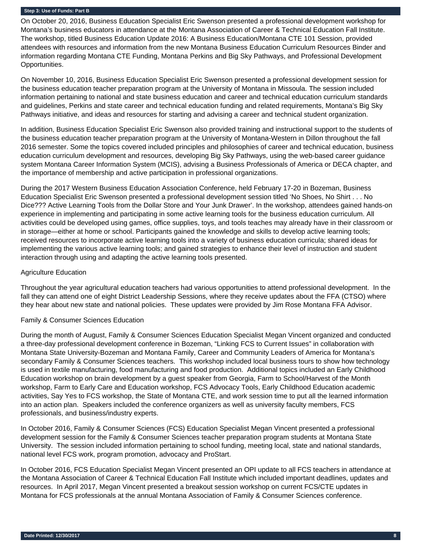On October 20, 2016, Business Education Specialist Eric Swenson presented a professional development workshop for Montana's business educators in attendance at the Montana Association of Career & Technical Education Fall Institute. The workshop, titled Business Education Update 2016: A Business Education/Montana CTE 101 Session, provided attendees with resources and information from the new Montana Business Education Curriculum Resources Binder and information regarding Montana CTE Funding, Montana Perkins and Big Sky Pathways, and Professional Development Opportunities.

On November 10, 2016, Business Education Specialist Eric Swenson presented a professional development session for the business education teacher preparation program at the University of Montana in Missoula. The session included information pertaining to national and state business education and career and technical education curriculum standards and guidelines, Perkins and state career and technical education funding and related requirements, Montana's Big Sky Pathways initiative, and ideas and resources for starting and advising a career and technical student organization.

In addition, Business Education Specialist Eric Swenson also provided training and instructional support to the students of the business education teacher preparation program at the University of Montana-Western in Dillon throughout the fall 2016 semester. Some the topics covered included principles and philosophies of career and technical education, business education curriculum development and resources, developing Big Sky Pathways, using the web-based career guidance system Montana Career Information System (MCIS), advising a Business Professionals of America or DECA chapter, and the importance of membership and active participation in professional organizations.

During the 2017 Western Business Education Association Conference, held February 17-20 in Bozeman, Business Education Specialist Eric Swenson presented a professional development session titled 'No Shoes, No Shirt . . . No Dice??? Active Learning Tools from the Dollar Store and Your Junk Drawer'. In the workshop, attendees gained hands-on experience in implementing and participating in some active learning tools for the business education curriculum. All activities could be developed using games, office supplies, toys, and tools teaches may already have in their classroom or in storage—either at home or school. Participants gained the knowledge and skills to develop active learning tools; received resources to incorporate active learning tools into a variety of business education curricula; shared ideas for implementing the various active learning tools; and gained strategies to enhance their level of instruction and student interaction through using and adapting the active learning tools presented.

#### Agriculture Education

Throughout the year agricultural education teachers had various opportunities to attend professional development. In the fall they can attend one of eight District Leadership Sessions, where they receive updates about the FFA (CTSO) where they hear about new state and national policies. These updates were provided by Jim Rose Montana FFA Advisor.

#### Family & Consumer Sciences Education

During the month of August, Family & Consumer Sciences Education Specialist Megan Vincent organized and conducted a three-day professional development conference in Bozeman, "Linking FCS to Current Issues" in collaboration with Montana State University-Bozeman and Montana Family, Career and Community Leaders of America for Montana's secondary Family & Consumer Sciences teachers. This workshop included local business tours to show how technology is used in textile manufacturing, food manufacturing and food production. Additional topics included an Early Childhood Education workshop on brain development by a guest speaker from Georgia, Farm to School/Harvest of the Month workshop, Farm to Early Care and Education workshop, FCS Advocacy Tools, Early Childhood Education academic activities, Say Yes to FCS workshop, the State of Montana CTE, and work session time to put all the learned information into an action plan. Speakers included the conference organizers as well as university faculty members, FCS professionals, and business/industry experts.

In October 2016, Family & Consumer Sciences (FCS) Education Specialist Megan Vincent presented a professional development session for the Family & Consumer Sciences teacher preparation program students at Montana State University. The session included information pertaining to school funding, meeting local, state and national standards, national level FCS work, program promotion, advocacy and ProStart.

In October 2016, FCS Education Specialist Megan Vincent presented an OPI update to all FCS teachers in attendance at the Montana Association of Career & Technical Education Fall Institute which included important deadlines, updates and resources. In April 2017, Megan Vincent presented a breakout session workshop on current FCS/CTE updates in Montana for FCS professionals at the annual Montana Association of Family & Consumer Sciences conference.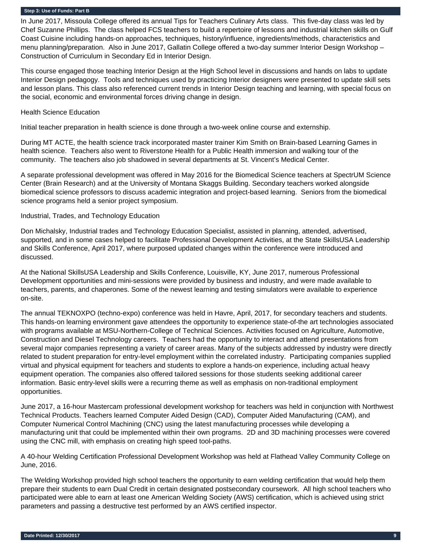In June 2017, Missoula College offered its annual Tips for Teachers Culinary Arts class. This five-day class was led by Chef Suzanne Phillips. The class helped FCS teachers to build a repertoire of lessons and industrial kitchen skills on Gulf Coast Cuisine including hands-on approaches, techniques, history/influence, ingredients/methods, characteristics and menu planning/preparation. Also in June 2017, Gallatin College offered a two-day summer Interior Design Workshop – Construction of Curriculum in Secondary Ed in Interior Design.

This course engaged those teaching Interior Design at the High School level in discussions and hands on labs to update Interior Design pedagogy. Tools and techniques used by practicing Interior designers were presented to update skill sets and lesson plans. This class also referenced current trends in Interior Design teaching and learning, with special focus on the social, economic and environmental forces driving change in design.

#### Health Science Education

Initial teacher preparation in health science is done through a two-week online course and externship.

During MT ACTE, the health science track incorporated master trainer Kim Smith on Brain-based Learning Games in health science. Teachers also went to Riverstone Health for a Public Health immersion and walking tour of the community. The teachers also job shadowed in several departments at St. Vincent's Medical Center.

A separate professional development was offered in May 2016 for the Biomedical Science teachers at SpectrUM Science Center (Brain Research) and at the University of Montana Skaggs Building. Secondary teachers worked alongside biomedical science professors to discuss academic integration and project-based learning. Seniors from the biomedical science programs held a senior project symposium.

## Industrial, Trades, and Technology Education

Don Michalsky, Industrial trades and Technology Education Specialist, assisted in planning, attended, advertised, supported, and in some cases helped to facilitate Professional Development Activities, at the State SkillsUSA Leadership and Skills Conference, April 2017, where purposed updated changes within the conference were introduced and discussed.

At the National SkillsUSA Leadership and Skills Conference, Louisville, KY, June 2017, numerous Professional Development opportunities and mini-sessions were provided by business and industry, and were made available to teachers, parents, and chaperones. Some of the newest learning and testing simulators were available to experience on-site.

The annual TEKNOXPO (techno-expo) conference was held in Havre, April, 2017, for secondary teachers and students. This hands-on learning environment gave attendees the opportunity to experience state-of-the art technologies associated with programs available at MSU-Northern-College of Technical Sciences. Activities focused on Agriculture, Automotive, Construction and Diesel Technology careers. Teachers had the opportunity to interact and attend presentations from several major companies representing a variety of career areas. Many of the subjects addressed by industry were directly related to student preparation for entry-level employment within the correlated industry. Participating companies supplied virtual and physical equipment for teachers and students to explore a hands-on experience, including actual heavy equipment operation. The companies also offered tailored sessions for those students seeking additional career information. Basic entry-level skills were a recurring theme as well as emphasis on non-traditional employment opportunities.

June 2017, a 16-hour Mastercam professional development workshop for teachers was held in conjunction with Northwest Technical Products. Teachers learned Computer Aided Design (CAD), Computer Aided Manufacturing (CAM), and Computer Numerical Control Machining (CNC) using the latest manufacturing processes while developing a manufacturing unit that could be implemented within their own programs. 2D and 3D machining processes were covered using the CNC mill, with emphasis on creating high speed tool-paths.

A 40-hour Welding Certification Professional Development Workshop was held at Flathead Valley Community College on June, 2016.

The Welding Workshop provided high school teachers the opportunity to earn welding certification that would help them prepare their students to earn Dual Credit in certain designated postsecondary coursework. All high school teachers who participated were able to earn at least one American Welding Society (AWS) certification, which is achieved using strict parameters and passing a destructive test performed by an AWS certified inspector.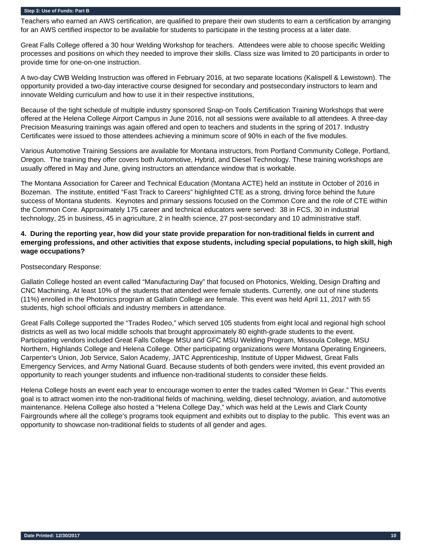Teachers who earned an AWS certification, are qualified to prepare their own students to earn a certification by arranging for an AWS certified inspector to be available for students to participate in the testing process at a later date.

Great Falls College offered a 30 hour Welding Workshop for teachers. Attendees were able to choose specific Welding processes and positions on which they needed to improve their skills. Class size was limited to 20 participants in order to provide time for one-on-one instruction.

A two-day CWB Welding Instruction was offered in February 2016, at two separate locations (Kalispell & Lewistown). The opportunity provided a two-day interactive course designed for secondary and postsecondary instructors to learn and innovate Welding curriculum and how to use it in their respective institutions,

Because of the tight schedule of multiple industry sponsored Snap-on Tools Certification Training Workshops that were offered at the Helena College Airport Campus in June 2016, not all sessions were available to all attendees. A three-day Precision Measuring trainings was again offered and open to teachers and students in the spring of 2017. Industry Certificates were issued to those attendees achieving a minimum score of 90% in each of the five modules.

Various Automotive Training Sessions are available for Montana instructors, from Portland Community College, Portland, Oregon. The training they offer covers both Automotive, Hybrid, and Diesel Technology. These training workshops are usually offered in May and June, giving instructors an attendance window that is workable.

The Montana Association for Career and Technical Education (Montana ACTE) held an institute in October of 2016 in Bozeman. The institute, entitled "Fast Track to Careers" highlighted CTE as a strong, driving force behind the future success of Montana students. Keynotes and primary sessions focused on the Common Core and the role of CTE within the Common Core. Approximately 175 career and technical educators were served: 38 in FCS, 30 in industrial technology, 25 in business, 45 in agriculture, 2 in health science, 27 post-secondary and 10 administrative staff.

## **4. During the reporting year, how did your state provide preparation for non-traditional fields in current and emerging professions, and other activities that expose students, including special populations, to high skill, high wage occupations?**

#### Postsecondary Response:

Gallatin College hosted an event called "Manufacturing Day" that focused on Photonics, Welding, Design Drafting and CNC Machining. At least 10% of the students that attended were female students. Currently, one out of nine students (11%) enrolled in the Photonics program at Gallatin College are female. This event was held April 11, 2017 with 55 students, high school officials and industry members in attendance.

Great Falls College supported the "Trades Rodeo," which served 105 students from eight local and regional high school districts as well as two local middle schools that brought approximately 80 eighth-grade students to the event. Participating vendors included Great Falls College MSU and GFC MSU Welding Program, Missoula College, MSU Northern, Highlands College and Helena College. Other participating organizations were Montana Operating Engineers, Carpenter's Union, Job Service, Salon Academy, JATC Apprenticeship, Institute of Upper Midwest, Great Falls Emergency Services, and Army National Guard. Because students of both genders were invited, this event provided an opportunity to reach younger students and influence non-traditional students to consider these fields.

Helena College hosts an event each year to encourage women to enter the trades called "Women In Gear." This events goal is to attract women into the non-traditional fields of machining, welding, diesel technology, aviation, and automotive maintenance. Helena College also hosted a "Helena College Day," which was held at the Lewis and Clark County Fairgrounds where all the college's programs took equipment and exhibits out to display to the public. This event was an opportunity to showcase non-traditional fields to students of all gender and ages.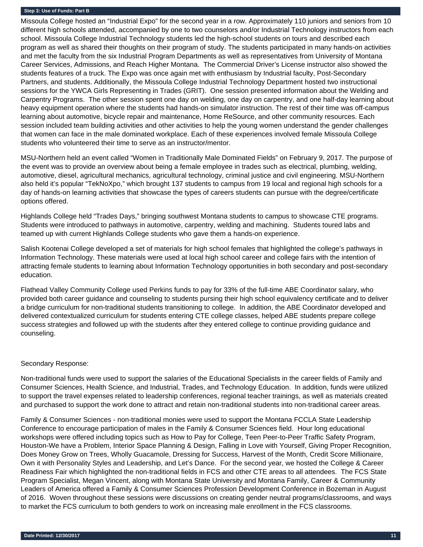Missoula College hosted an "Industrial Expo" for the second year in a row. Approximately 110 juniors and seniors from 10 different high schools attended, accompanied by one to two counselors and/or Industrial Technology instructors from each school. Missoula College Industrial Technology students led the high-school students on tours and described each program as well as shared their thoughts on their program of study. The students participated in many hands-on activities and met the faculty from the six Industrial Program Departments as well as representatives from University of Montana Career Services, Admissions, and Reach Higher Montana. The Commercial Driver's License instructor also showed the students features of a truck. The Expo was once again met with enthusiasm by Industrial faculty, Post-Secondary Partners, and students. Additionally, the Missoula College Industrial Technology Department hosted two instructional sessions for the YWCA Girls Representing in Trades (GRIT). One session presented information about the Welding and Carpentry Programs. The other session spent one day on welding, one day on carpentry, and one half-day learning about heavy equipment operation where the students had hands-on simulator instruction. The rest of their time was off-campus learning about automotive, bicycle repair and maintenance, Home ReSource, and other community resources. Each session included team building activities and other activities to help the young women understand the gender challenges that women can face in the male dominated workplace. Each of these experiences involved female Missoula College students who volunteered their time to serve as an instructor/mentor.

MSU-Northern held an event called "Women in Traditionally Male Dominated Fields" on February 9, 2017. The purpose of the event was to provide an overview about being a female employee in trades such as electrical, plumbing, welding, automotive, diesel, agricultural mechanics, agricultural technology, criminal justice and civil engineering. MSU-Northern also held it's popular "TekNoXpo," which brought 137 students to campus from 19 local and regional high schools for a day of hands-on learning activities that showcase the types of careers students can pursue with the degree/certificate options offered.

Highlands College held "Trades Days," bringing southwest Montana students to campus to showcase CTE programs. Students were introduced to pathways in automotive, carpentry, welding and machining. Students toured labs and teamed up with current Highlands College students who gave them a hands-on experience.

Salish Kootenai College developed a set of materials for high school females that highlighted the college's pathways in Information Technology. These materials were used at local high school career and college fairs with the intention of attracting female students to learning about Information Technology opportunities in both secondary and post-secondary education.

Flathead Valley Community College used Perkins funds to pay for 33% of the full-time ABE Coordinator salary, who provided both career guidance and counseling to students pursing their high school equivalency certificate and to deliver a bridge curriculum for non-traditional students transitioning to college. In addition, the ABE Coordinator developed and delivered contextualized curriculum for students entering CTE college classes, helped ABE students prepare college success strategies and followed up with the students after they entered college to continue providing guidance and counseling.

#### Secondary Response:

Non-traditional funds were used to support the salaries of the Educational Specialists in the career fields of Family and Consumer Sciences, Health Science, and Industrial, Trades, and Technology Education. In addition, funds were utilized to support the travel expenses related to leadership conferences, regional teacher trainings, as well as materials created and purchased to support the work done to attract and retain non-traditional students into non-traditional career areas.

Family & Consumer Sciences - non-traditional monies were used to support the Montana FCCLA State Leadership Conference to encourage participation of males in the Family & Consumer Sciences field. Hour long educational workshops were offered including topics such as How to Pay for College, Teen Peer-to-Peer Traffic Safety Program, Houston-We have a Problem, Interior Space Planning & Design, Falling in Love with Yourself, Giving Proper Recognition, Does Money Grow on Trees, Wholly Guacamole, Dressing for Success, Harvest of the Month, Credit Score Millionaire, Own it with Personality Styles and Leadership, and Let's Dance. For the second year, we hosted the College & Career Readiness Fair which highlighted the non-traditional fields in FCS and other CTE areas to all attendees. The FCS State Program Specialist, Megan Vincent, along with Montana State University and Montana Family, Career & Community Leaders of America offered a Family & Consumer Sciences Profession Development Conference in Bozeman in August of 2016. Woven throughout these sessions were discussions on creating gender neutral programs/classrooms, and ways to market the FCS curriculum to both genders to work on increasing male enrollment in the FCS classrooms.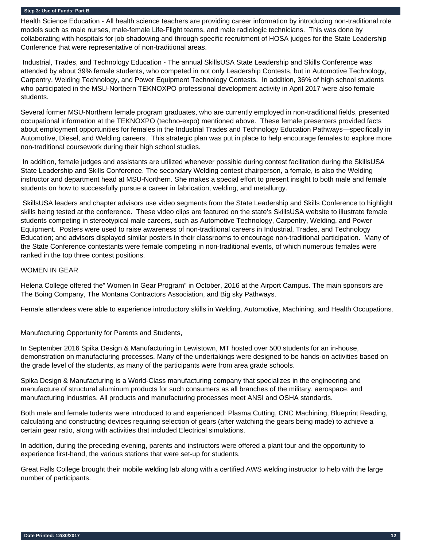Health Science Education - All health science teachers are providing career information by introducing non-traditional role models such as male nurses, male-female Life-Flight teams, and male radiologic technicians. This was done by collaborating with hospitals for job shadowing and through specific recruitment of HOSA judges for the State Leadership Conference that were representative of non-traditional areas.

 Industrial, Trades, and Technology Education - The annual SkillsUSA State Leadership and Skills Conference was attended by about 39% female students, who competed in not only Leadership Contests, but in Automotive Technology, Carpentry, Welding Technology, and Power Equipment Technology Contests. In addition, 36% of high school students who participated in the MSU-Northern TEKNOXPO professional development activity in April 2017 were also female students.

Several former MSU-Northern female program graduates, who are currently employed in non-traditional fields, presented occupational information at the TEKNOXPO (techno-expo) mentioned above. These female presenters provided facts about employment opportunities for females in the Industrial Trades and Technology Education Pathways—specifically in Automotive, Diesel, and Welding careers. This strategic plan was put in place to help encourage females to explore more non-traditional coursework during their high school studies.

 In addition, female judges and assistants are utilized whenever possible during contest facilitation during the SkillsUSA State Leadership and Skills Conference. The secondary Welding contest chairperson, a female, is also the Welding instructor and department head at MSU-Northern. She makes a special effort to present insight to both male and female students on how to successfully pursue a career in fabrication, welding, and metallurgy.

 SkillsUSA leaders and chapter advisors use video segments from the State Leadership and Skills Conference to highlight skills being tested at the conference. These video clips are featured on the state's SkillsUSA website to illustrate female students competing in stereotypical male careers, such as Automotive Technology, Carpentry, Welding, and Power Equipment. Posters were used to raise awareness of non-traditional careers in Industrial, Trades, and Technology Education; and advisors displayed similar posters in their classrooms to encourage non-traditional participation. Many of the State Conference contestants were female competing in non-traditional events, of which numerous females were ranked in the top three contest positions.

## WOMEN IN GEAR

Helena College offered the" Women In Gear Program" in October, 2016 at the Airport Campus. The main sponsors are The Boing Company, The Montana Contractors Association, and Big sky Pathways.

Female attendees were able to experience introductory skills in Welding, Automotive, Machining, and Health Occupations.

Manufacturing Opportunity for Parents and Students,

In September 2016 Spika Design & Manufacturing in Lewistown, MT hosted over 500 students for an in-house, demonstration on manufacturing processes. Many of the undertakings were designed to be hands-on activities based on the grade level of the students, as many of the participants were from area grade schools.

Spika Design & Manufacturing is a World-Class manufacturing company that specializes in the engineering and manufacture of structural aluminum products for such consumers as all branches of the military, aerospace, and manufacturing industries. All products and manufacturing processes meet ANSI and OSHA standards.

Both male and female tudents were introduced to and experienced: Plasma Cutting, CNC Machining, Blueprint Reading, calculating and constructing devices requiring selection of gears (after watching the gears being made) to achieve a certain gear ratio, along with activities that included Electrical simulations.

In addition, during the preceding evening, parents and instructors were offered a plant tour and the opportunity to experience first-hand, the various stations that were set-up for students.

Great Falls College brought their mobile welding lab along with a certified AWS welding instructor to help with the large number of participants.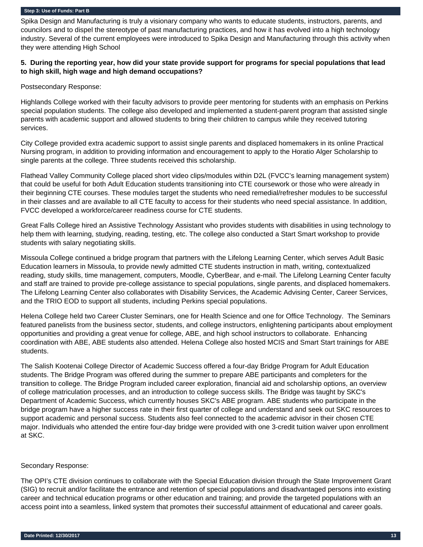Spika Design and Manufacturing is truly a visionary company who wants to educate students, instructors, parents, and councilors and to dispel the stereotype of past manufacturing practices, and how it has evolved into a high technology industry. Several of the current employees were introduced to Spika Design and Manufacturing through this activity when they were attending High School

## **5. During the reporting year, how did your state provide support for programs for special populations that lead to high skill, high wage and high demand occupations?**

Postsecondary Response:

Highlands College worked with their faculty advisors to provide peer mentoring for students with an emphasis on Perkins special population students. The college also developed and implemented a student-parent program that assisted single parents with academic support and allowed students to bring their children to campus while they received tutoring services.

City College provided extra academic support to assist single parents and displaced homemakers in its online Practical Nursing program, in addition to providing information and encouragement to apply to the Horatio Alger Scholarship to single parents at the college. Three students received this scholarship.

Flathead Valley Community College placed short video clips/modules within D2L (FVCC's learning management system) that could be useful for both Adult Education students transitioning into CTE coursework or those who were already in their beginning CTE courses. These modules target the students who need remedial/refresher modules to be successful in their classes and are available to all CTE faculty to access for their students who need special assistance. In addition, FVCC developed a workforce/career readiness course for CTE students.

Great Falls College hired an Assistive Technology Assistant who provides students with disabilities in using technology to help them with learning, studying, reading, testing, etc. The college also conducted a Start Smart workshop to provide students with salary negotiating skills.

Missoula College continued a bridge program that partners with the Lifelong Learning Center, which serves Adult Basic Education learners in Missoula, to provide newly admitted CTE students instruction in math, writing, contextualized reading, study skills, time management, computers, Moodle, CyberBear, and e-mail. The Lifelong Learning Center faculty and staff are trained to provide pre-college assistance to special populations, single parents, and displaced homemakers. The Lifelong Learning Center also collaborates with Disability Services, the Academic Advising Center, Career Services, and the TRIO EOD to support all students, including Perkins special populations.

Helena College held two Career Cluster Seminars, one for Health Science and one for Office Technology. The Seminars featured panelists from the business sector, students, and college instructors, enlightening participants about employment opportunities and providing a great venue for college, ABE, and high school instructors to collaborate. Enhancing coordination with ABE, ABE students also attended. Helena College also hosted MCIS and Smart Start trainings for ABE students.

The Salish Kootenai College Director of Academic Success offered a four-day Bridge Program for Adult Education students. The Bridge Program was offered during the summer to prepare ABE participants and completers for the transition to college. The Bridge Program included career exploration, financial aid and scholarship options, an overview of college matriculation processes, and an introduction to college success skills. The Bridge was taught by SKC's Department of Academic Success, which currently houses SKC's ABE program. ABE students who participate in the bridge program have a higher success rate in their first quarter of college and understand and seek out SKC resources to support academic and personal success. Students also feel connected to the academic advisor in their chosen CTE major. Individuals who attended the entire four-day bridge were provided with one 3-credit tuition waiver upon enrollment at SKC.

## Secondary Response:

The OPI's CTE division continues to collaborate with the Special Education division through the State Improvement Grant (SIG) to recruit and/or facilitate the entrance and retention of special populations and disadvantaged persons into existing career and technical education programs or other education and training; and provide the targeted populations with an access point into a seamless, linked system that promotes their successful attainment of educational and career goals.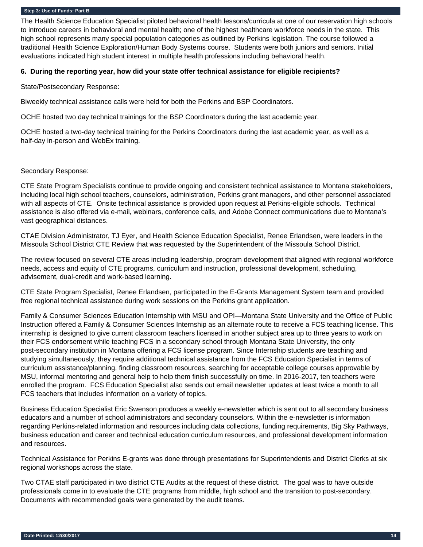The Health Science Education Specialist piloted behavioral health lessons/curricula at one of our reservation high schools to introduce careers in behavioral and mental health; one of the highest healthcare workforce needs in the state. This high school represents many special population categories as outlined by Perkins legislation. The course followed a traditional Health Science Exploration/Human Body Systems course. Students were both juniors and seniors. Initial evaluations indicated high student interest in multiple health professions including behavioral health.

#### **6. During the reporting year, how did your state offer technical assistance for eligible recipients?**

State/Postsecondary Response:

Biweekly technical assistance calls were held for both the Perkins and BSP Coordinators.

OCHE hosted two day technical trainings for the BSP Coordinators during the last academic year.

OCHE hosted a two-day technical training for the Perkins Coordinators during the last academic year, as well as a half-day in-person and WebEx training.

#### Secondary Response:

CTE State Program Specialists continue to provide ongoing and consistent technical assistance to Montana stakeholders, including local high school teachers, counselors, administration, Perkins grant managers, and other personnel associated with all aspects of CTE. Onsite technical assistance is provided upon request at Perkins-eligible schools. Technical assistance is also offered via e-mail, webinars, conference calls, and Adobe Connect communications due to Montana's vast geographical distances.

CTAE Division Administrator, TJ Eyer, and Health Science Education Specialist, Renee Erlandsen, were leaders in the Missoula School District CTE Review that was requested by the Superintendent of the Missoula School District.

The review focused on several CTE areas including leadership, program development that aligned with regional workforce needs, access and equity of CTE programs, curriculum and instruction, professional development, scheduling, advisement, dual-credit and work-based learning.

CTE State Program Specialist, Renee Erlandsen, participated in the E-Grants Management System team and provided free regional technical assistance during work sessions on the Perkins grant application.

Family & Consumer Sciences Education Internship with MSU and OPI—Montana State University and the Office of Public Instruction offered a Family & Consumer Sciences Internship as an alternate route to receive a FCS teaching license. This internship is designed to give current classroom teachers licensed in another subject area up to three years to work on their FCS endorsement while teaching FCS in a secondary school through Montana State University, the only post-secondary institution in Montana offering a FCS license program. Since Internship students are teaching and studying simultaneously, they require additional technical assistance from the FCS Education Specialist in terms of curriculum assistance/planning, finding classroom resources, searching for acceptable college courses approvable by MSU, informal mentoring and general help to help them finish successfully on time. In 2016-2017, ten teachers were enrolled the program. FCS Education Specialist also sends out email newsletter updates at least twice a month to all FCS teachers that includes information on a variety of topics.

Business Education Specialist Eric Swenson produces a weekly e-newsletter which is sent out to all secondary business educators and a number of school administrators and secondary counselors. Within the e-newsletter is information regarding Perkins-related information and resources including data collections, funding requirements, Big Sky Pathways, business education and career and technical education curriculum resources, and professional development information and resources.

Technical Assistance for Perkins E-grants was done through presentations for Superintendents and District Clerks at six regional workshops across the state.

Two CTAE staff participated in two district CTE Audits at the request of these district. The goal was to have outside professionals come in to evaluate the CTE programs from middle, high school and the transition to post-secondary. Documents with recommended goals were generated by the audit teams.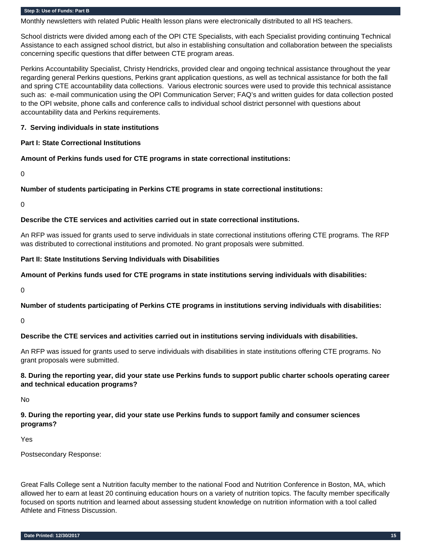Monthly newsletters with related Public Health lesson plans were electronically distributed to all HS teachers.

School districts were divided among each of the OPI CTE Specialists, with each Specialist providing continuing Technical Assistance to each assigned school district, but also in establishing consultation and collaboration between the specialists concerning specific questions that differ between CTE program areas.

Perkins Accountability Specialist, Christy Hendricks, provided clear and ongoing technical assistance throughout the year regarding general Perkins questions, Perkins grant application questions, as well as technical assistance for both the fall and spring CTE accountability data collections. Various electronic sources were used to provide this technical assistance such as: e-mail communication using the OPI Communication Server; FAQ's and written guides for data collection posted to the OPI website, phone calls and conference calls to individual school district personnel with questions about accountability data and Perkins requirements.

### **7. Serving individuals in state institutions**

#### **Part I: State Correctional Institutions**

#### **Amount of Perkins funds used for CTE programs in state correctional institutions:**

0

### **Number of students participating in Perkins CTE programs in state correctional institutions:**

0

### **Describe the CTE services and activities carried out in state correctional institutions.**

An RFP was issued for grants used to serve individuals in state correctional institutions offering CTE programs. The RFP was distributed to correctional institutions and promoted. No grant proposals were submitted.

#### **Part II: State Institutions Serving Individuals with Disabilities**

#### **Amount of Perkins funds used for CTE programs in state institutions serving individuals with disabilities:**

 $\Omega$ 

## **Number of students participating of Perkins CTE programs in institutions serving individuals with disabilities:**

 $\Omega$ 

## **Describe the CTE services and activities carried out in institutions serving individuals with disabilities.**

An RFP was issued for grants used to serve individuals with disabilities in state institutions offering CTE programs. No grant proposals were submitted.

## **8. During the reporting year, did your state use Perkins funds to support public charter schools operating career and technical education programs?**

No

## **9. During the reporting year, did your state use Perkins funds to support family and consumer sciences programs?**

Yes

Postsecondary Response:

Great Falls College sent a Nutrition faculty member to the national Food and Nutrition Conference in Boston, MA, which allowed her to earn at least 20 continuing education hours on a variety of nutrition topics. The faculty member specifically focused on sports nutrition and learned about assessing student knowledge on nutrition information with a tool called Athlete and Fitness Discussion.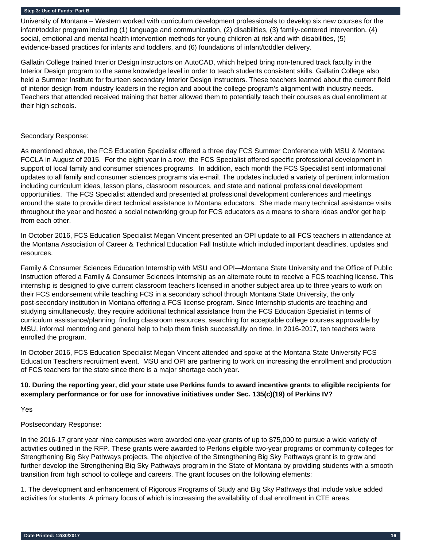University of Montana – Western worked with curriculum development professionals to develop six new courses for the infant/toddler program including (1) language and communication, (2) disabilities, (3) family-centered intervention, (4) social, emotional and mental health intervention methods for young children at risk and with disabilities, (5) evidence-based practices for infants and toddlers, and (6) foundations of infant/toddler delivery.

Gallatin College trained Interior Design instructors on AutoCAD, which helped bring non-tenured track faculty in the Interior Design program to the same knowledge level in order to teach students consistent skills. Gallatin College also held a Summer Institute for fourteen secondary Interior Design instructors. These teachers learned about the current field of interior design from industry leaders in the region and about the college program's alignment with industry needs. Teachers that attended received training that better allowed them to potentially teach their courses as dual enrollment at their high schools.

#### Secondary Response:

As mentioned above, the FCS Education Specialist offered a three day FCS Summer Conference with MSU & Montana FCCLA in August of 2015. For the eight year in a row, the FCS Specialist offered specific professional development in support of local family and consumer sciences programs. In addition, each month the FCS Specialist sent informational updates to all family and consumer sciences programs via e-mail. The updates included a variety of pertinent information including curriculum ideas, lesson plans, classroom resources, and state and national professional development opportunities. The FCS Specialist attended and presented at professional development conferences and meetings around the state to provide direct technical assistance to Montana educators. She made many technical assistance visits throughout the year and hosted a social networking group for FCS educators as a means to share ideas and/or get help from each other.

In October 2016, FCS Education Specialist Megan Vincent presented an OPI update to all FCS teachers in attendance at the Montana Association of Career & Technical Education Fall Institute which included important deadlines, updates and resources.

Family & Consumer Sciences Education Internship with MSU and OPI—Montana State University and the Office of Public Instruction offered a Family & Consumer Sciences Internship as an alternate route to receive a FCS teaching license. This internship is designed to give current classroom teachers licensed in another subject area up to three years to work on their FCS endorsement while teaching FCS in a secondary school through Montana State University, the only post-secondary institution in Montana offering a FCS license program. Since Internship students are teaching and studying simultaneously, they require additional technical assistance from the FCS Education Specialist in terms of curriculum assistance/planning, finding classroom resources, searching for acceptable college courses approvable by MSU, informal mentoring and general help to help them finish successfully on time. In 2016-2017, ten teachers were enrolled the program.

In October 2016, FCS Education Specialist Megan Vincent attended and spoke at the Montana State University FCS Education Teachers recruitment event. MSU and OPI are partnering to work on increasing the enrollment and production of FCS teachers for the state since there is a major shortage each year.

## **10. During the reporting year, did your state use Perkins funds to award incentive grants to eligible recipients for exemplary performance or for use for innovative initiatives under Sec. 135(c)(19) of Perkins IV?**

Yes

## Postsecondary Response:

In the 2016-17 grant year nine campuses were awarded one-year grants of up to \$75,000 to pursue a wide variety of activities outlined in the RFP. These grants were awarded to Perkins eligible two-year programs or community colleges for Strengthening Big Sky Pathways projects. The objective of the Strengthening Big Sky Pathways grant is to grow and further develop the Strengthening Big Sky Pathways program in the State of Montana by providing students with a smooth transition from high school to college and careers. The grant focuses on the following elements:

1. The development and enhancement of Rigorous Programs of Study and Big Sky Pathways that include value added activities for students. A primary focus of which is increasing the availability of dual enrollment in CTE areas.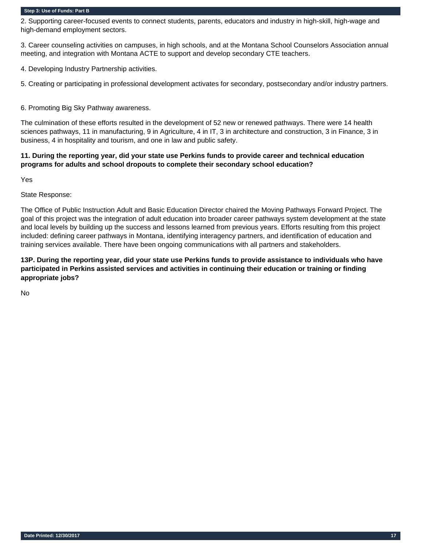2. Supporting career-focused events to connect students, parents, educators and industry in high-skill, high-wage and high-demand employment sectors.

3. Career counseling activities on campuses, in high schools, and at the Montana School Counselors Association annual meeting, and integration with Montana ACTE to support and develop secondary CTE teachers.

4. Developing Industry Partnership activities.

5. Creating or participating in professional development activates for secondary, postsecondary and/or industry partners.

6. Promoting Big Sky Pathway awareness.

The culmination of these efforts resulted in the development of 52 new or renewed pathways. There were 14 health sciences pathways, 11 in manufacturing, 9 in Agriculture, 4 in IT, 3 in architecture and construction, 3 in Finance, 3 in business, 4 in hospitality and tourism, and one in law and public safety.

## **11. During the reporting year, did your state use Perkins funds to provide career and technical education programs for adults and school dropouts to complete their secondary school education?**

Yes

State Response:

The Office of Public Instruction Adult and Basic Education Director chaired the Moving Pathways Forward Project. The goal of this project was the integration of adult education into broader career pathways system development at the state and local levels by building up the success and lessons learned from previous years. Efforts resulting from this project included: defining career pathways in Montana, identifying interagency partners, and identification of education and training services available. There have been ongoing communications with all partners and stakeholders.

**13P. During the reporting year, did your state use Perkins funds to provide assistance to individuals who have participated in Perkins assisted services and activities in continuing their education or training or finding appropriate jobs?** 

No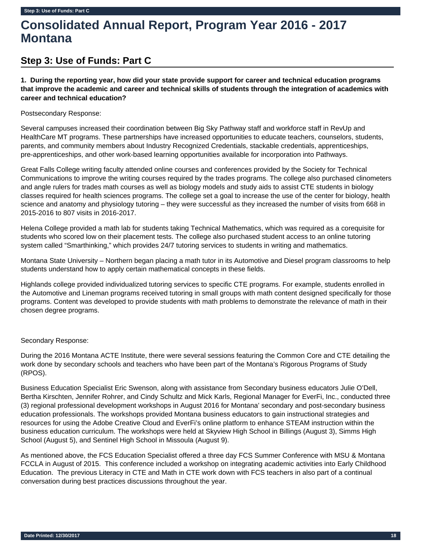# **Consolidated Annual Report, Program Year 2016 - 2017 Montana**

## **Step 3: Use of Funds: Part C**

**1. During the reporting year, how did your state provide support for career and technical education programs that improve the academic and career and technical skills of students through the integration of academics with career and technical education?** 

Postsecondary Response:

Several campuses increased their coordination between Big Sky Pathway staff and workforce staff in RevUp and HealthCare MT programs. These partnerships have increased opportunities to educate teachers, counselors, students, parents, and community members about Industry Recognized Credentials, stackable credentials, apprenticeships, pre-apprenticeships, and other work-based learning opportunities available for incorporation into Pathways.

Great Falls College writing faculty attended online courses and conferences provided by the Society for Technical Communications to improve the writing courses required by the trades programs. The college also purchased clinometers and angle rulers for trades math courses as well as biology models and study aids to assist CTE students in biology classes required for health sciences programs. The college set a goal to increase the use of the center for biology, health science and anatomy and physiology tutoring – they were successful as they increased the number of visits from 668 in 2015-2016 to 807 visits in 2016-2017.

Helena College provided a math lab for students taking Technical Mathematics, which was required as a corequisite for students who scored low on their placement tests. The college also purchased student access to an online tutoring system called "Smarthinking," which provides 24/7 tutoring services to students in writing and mathematics.

Montana State University – Northern began placing a math tutor in its Automotive and Diesel program classrooms to help students understand how to apply certain mathematical concepts in these fields.

Highlands college provided individualized tutoring services to specific CTE programs. For example, students enrolled in the Automotive and Lineman programs received tutoring in small groups with math content designed specifically for those programs. Content was developed to provide students with math problems to demonstrate the relevance of math in their chosen degree programs.

## Secondary Response:

During the 2016 Montana ACTE Institute, there were several sessions featuring the Common Core and CTE detailing the work done by secondary schools and teachers who have been part of the Montana's Rigorous Programs of Study (RPOS).

Business Education Specialist Eric Swenson, along with assistance from Secondary business educators Julie O'Dell, Bertha Kirschten, Jennifer Rohrer, and Cindy Schultz and Mick Karls, Regional Manager for EverFi, Inc., conducted three (3) regional professional development workshops in August 2016 for Montana' secondary and post-secondary business education professionals. The workshops provided Montana business educators to gain instructional strategies and resources for using the Adobe Creative Cloud and EverFi's online platform to enhance STEAM instruction within the business education curriculum. The workshops were held at Skyview High School in Billings (August 3), Simms High School (August 5), and Sentinel High School in Missoula (August 9).

As mentioned above, the FCS Education Specialist offered a three day FCS Summer Conference with MSU & Montana FCCLA in August of 2015. This conference included a workshop on integrating academic activities into Early Childhood Education. The previous Literacy in CTE and Math in CTE work down with FCS teachers in also part of a continual conversation during best practices discussions throughout the year.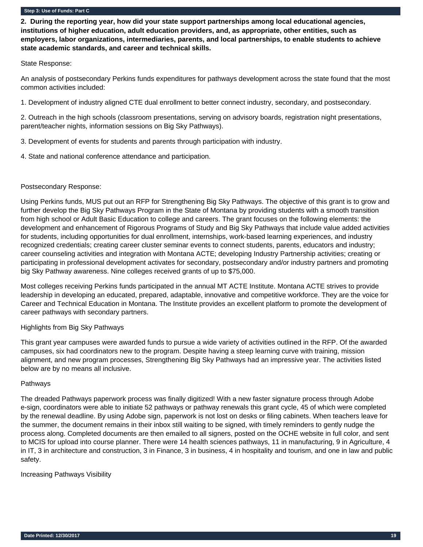**2. During the reporting year, how did your state support partnerships among local educational agencies, institutions of higher education, adult education providers, and, as appropriate, other entities, such as employers, labor organizations, intermediaries, parents, and local partnerships, to enable students to achieve state academic standards, and career and technical skills.** 

#### State Response:

An analysis of postsecondary Perkins funds expenditures for pathways development across the state found that the most common activities included:

1. Development of industry aligned CTE dual enrollment to better connect industry, secondary, and postsecondary.

2. Outreach in the high schools (classroom presentations, serving on advisory boards, registration night presentations, parent/teacher nights, information sessions on Big Sky Pathways).

- 3. Development of events for students and parents through participation with industry.
- 4. State and national conference attendance and participation.

#### Postsecondary Response:

Using Perkins funds, MUS put out an RFP for Strengthening Big Sky Pathways. The objective of this grant is to grow and further develop the Big Sky Pathways Program in the State of Montana by providing students with a smooth transition from high school or Adult Basic Education to college and careers. The grant focuses on the following elements: the development and enhancement of Rigorous Programs of Study and Big Sky Pathways that include value added activities for students, including opportunities for dual enrollment, internships, work-based learning experiences, and industry recognized credentials; creating career cluster seminar events to connect students, parents, educators and industry; career counseling activities and integration with Montana ACTE; developing Industry Partnership activities; creating or participating in professional development activates for secondary, postsecondary and/or industry partners and promoting big Sky Pathway awareness. Nine colleges received grants of up to \$75,000.

Most colleges receiving Perkins funds participated in the annual MT ACTE Institute. Montana ACTE strives to provide leadership in developing an educated, prepared, adaptable, innovative and competitive workforce. They are the voice for Career and Technical Education in Montana. The Institute provides an excellent platform to promote the development of career pathways with secondary partners.

## Highlights from Big Sky Pathways

This grant year campuses were awarded funds to pursue a wide variety of activities outlined in the RFP. Of the awarded campuses, six had coordinators new to the program. Despite having a steep learning curve with training, mission alignment, and new program processes, Strengthening Big Sky Pathways had an impressive year. The activities listed below are by no means all inclusive.

#### Pathways

The dreaded Pathways paperwork process was finally digitized! With a new faster signature process through Adobe e-sign, coordinators were able to initiate 52 pathways or pathway renewals this grant cycle, 45 of which were completed by the renewal deadline. By using Adobe sign, paperwork is not lost on desks or filing cabinets. When teachers leave for the summer, the document remains in their inbox still waiting to be signed, with timely reminders to gently nudge the process along. Completed documents are then emailed to all signers, posted on the OCHE website in full color, and sent to MCIS for upload into course planner. There were 14 health sciences pathways, 11 in manufacturing, 9 in Agriculture, 4 in IT, 3 in architecture and construction, 3 in Finance, 3 in business, 4 in hospitality and tourism, and one in law and public safety.

#### Increasing Pathways Visibility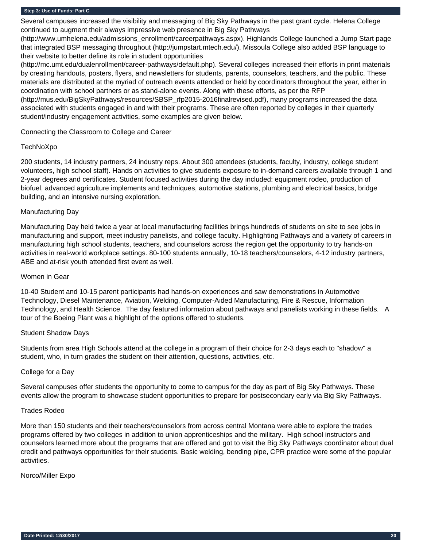Several campuses increased the visibility and messaging of Big Sky Pathways in the past grant cycle. Helena College continued to augment their always impressive web presence in Big Sky Pathways

(http://www.umhelena.edu/admissions\_enrollment/careerpathways.aspx). Highlands College launched a Jump Start page that integrated BSP messaging throughout (http://jumpstart.mtech.edu/). Missoula College also added BSP language to their website to better define its role in student opportunities

(http://mc.umt.edu/dualenrollment/career-pathways/default.php). Several colleges increased their efforts in print materials by creating handouts, posters, flyers, and newsletters for students, parents, counselors, teachers, and the public. These materials are distributed at the myriad of outreach events attended or held by coordinators throughout the year, either in coordination with school partners or as stand-alone events. Along with these efforts, as per the RFP (http://mus.edu/BigSkyPathways/resources/SBSP\_rfp2015-2016finalrevised.pdf), many programs increased the data associated with students engaged in and with their programs. These are often reported by colleges in their quarterly student/industry engagement activities, some examples are given below.

## Connecting the Classroom to College and Career

#### TechNoXpo

200 students, 14 industry partners, 24 industry reps. About 300 attendees (students, faculty, industry, college student volunteers, high school staff). Hands on activities to give students exposure to in-demand careers available through 1 and 2-year degrees and certificates. Student focused activities during the day included: equipment rodeo, production of biofuel, advanced agriculture implements and techniques, automotive stations, plumbing and electrical basics, bridge building, and an intensive nursing exploration.

#### Manufacturing Day

Manufacturing Day held twice a year at local manufacturing facilities brings hundreds of students on site to see jobs in manufacturing and support, meet industry panelists, and college faculty. Highlighting Pathways and a variety of careers in manufacturing high school students, teachers, and counselors across the region get the opportunity to try hands-on activities in real-world workplace settings. 80-100 students annually, 10-18 teachers/counselors, 4-12 industry partners, ABE and at-risk youth attended first event as well.

#### Women in Gear

10-40 Student and 10-15 parent participants had hands-on experiences and saw demonstrations in Automotive Technology, Diesel Maintenance, Aviation, Welding, Computer-Aided Manufacturing, Fire & Rescue, Information Technology, and Health Science. The day featured information about pathways and panelists working in these fields. A tour of the Boeing Plant was a highlight of the options offered to students.

## Student Shadow Days

Students from area High Schools attend at the college in a program of their choice for 2-3 days each to "shadow" a student, who, in turn grades the student on their attention, questions, activities, etc.

#### College for a Day

Several campuses offer students the opportunity to come to campus for the day as part of Big Sky Pathways. These events allow the program to showcase student opportunities to prepare for postsecondary early via Big Sky Pathways.

#### Trades Rodeo

More than 150 students and their teachers/counselors from across central Montana were able to explore the trades programs offered by two colleges in addition to union apprenticeships and the military. High school instructors and counselors learned more about the programs that are offered and got to visit the Big Sky Pathways coordinator about dual credit and pathways opportunities for their students. Basic welding, bending pipe, CPR practice were some of the popular activities.

#### Norco/Miller Expo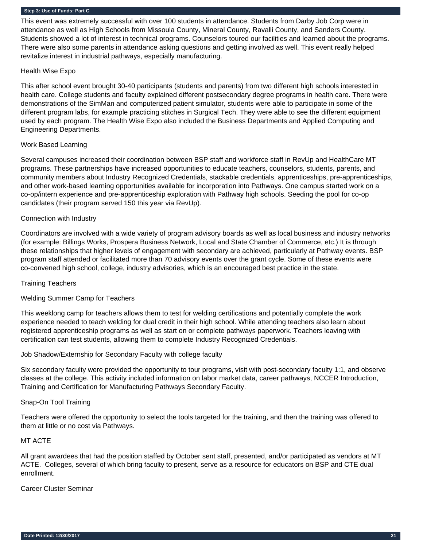This event was extremely successful with over 100 students in attendance. Students from Darby Job Corp were in attendance as well as High Schools from Missoula County, Mineral County, Ravalli County, and Sanders County. Students showed a lot of interest in technical programs. Counselors toured our facilities and learned about the programs. There were also some parents in attendance asking questions and getting involved as well. This event really helped revitalize interest in industrial pathways, especially manufacturing.

#### Health Wise Expo

This after school event brought 30-40 participants (students and parents) from two different high schools interested in health care. College students and faculty explained different postsecondary degree programs in health care. There were demonstrations of the SimMan and computerized patient simulator, students were able to participate in some of the different program labs, for example practicing stitches in Surgical Tech. They were able to see the different equipment used by each program. The Health Wise Expo also included the Business Departments and Applied Computing and Engineering Departments.

## Work Based Learning

Several campuses increased their coordination between BSP staff and workforce staff in RevUp and HealthCare MT programs. These partnerships have increased opportunities to educate teachers, counselors, students, parents, and community members about Industry Recognized Credentials, stackable credentials, apprenticeships, pre-apprenticeships, and other work-based learning opportunities available for incorporation into Pathways. One campus started work on a co-op/intern experience and pre-apprenticeship exploration with Pathway high schools. Seeding the pool for co-op candidates (their program served 150 this year via RevUp).

## Connection with Industry

Coordinators are involved with a wide variety of program advisory boards as well as local business and industry networks (for example: Billings Works, Prospera Business Network, Local and State Chamber of Commerce, etc.) It is through these relationships that higher levels of engagement with secondary are achieved, particularly at Pathway events. BSP program staff attended or facilitated more than 70 advisory events over the grant cycle. Some of these events were co-convened high school, college, industry advisories, which is an encouraged best practice in the state.

## Training Teachers

## Welding Summer Camp for Teachers

This weeklong camp for teachers allows them to test for welding certifications and potentially complete the work experience needed to teach welding for dual credit in their high school. While attending teachers also learn about registered apprenticeship programs as well as start on or complete pathways paperwork. Teachers leaving with certification can test students, allowing them to complete Industry Recognized Credentials.

Job Shadow/Externship for Secondary Faculty with college faculty

Six secondary faculty were provided the opportunity to tour programs, visit with post-secondary faculty 1:1, and observe classes at the college. This activity included information on labor market data, career pathways, NCCER Introduction, Training and Certification for Manufacturing Pathways Secondary Faculty.

## Snap-On Tool Training

Teachers were offered the opportunity to select the tools targeted for the training, and then the training was offered to them at little or no cost via Pathways.

## MT ACTE

All grant awardees that had the position staffed by October sent staff, presented, and/or participated as vendors at MT ACTE. Colleges, several of which bring faculty to present, serve as a resource for educators on BSP and CTE dual enrollment.

## Career Cluster Seminar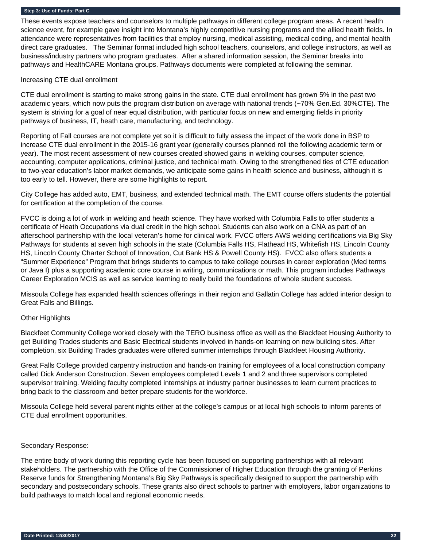These events expose teachers and counselors to multiple pathways in different college program areas. A recent health science event, for example gave insight into Montana's highly competitive nursing programs and the allied health fields. In attendance were representatives from facilities that employ nursing, medical assisting, medical coding, and mental health direct care graduates. The Seminar format included high school teachers, counselors, and college instructors, as well as business/industry partners who program graduates. After a shared information session, the Seminar breaks into pathways and HealthCARE Montana groups. Pathways documents were completed at following the seminar.

#### Increasing CTE dual enrollment

CTE dual enrollment is starting to make strong gains in the state. CTE dual enrollment has grown 5% in the past two academic years, which now puts the program distribution on average with national trends (~70% Gen.Ed. 30%CTE). The system is striving for a goal of near equal distribution, with particular focus on new and emerging fields in priority pathways of business, IT, heath care, manufacturing, and technology.

Reporting of Fall courses are not complete yet so it is difficult to fully assess the impact of the work done in BSP to increase CTE dual enrollment in the 2015-16 grant year (generally courses planned roll the following academic term or year). The most recent assessment of new courses created showed gains in welding courses, computer science, accounting, computer applications, criminal justice, and technical math. Owing to the strengthened ties of CTE education to two-year education's labor market demands, we anticipate some gains in health science and business, although it is too early to tell. However, there are some highlights to report.

City College has added auto, EMT, business, and extended technical math. The EMT course offers students the potential for certification at the completion of the course.

FVCC is doing a lot of work in welding and heath science. They have worked with Columbia Falls to offer students a certificate of Heath Occupations via dual credit in the high school. Students can also work on a CNA as part of an afterschool partnership with the local veteran's home for clinical work. FVCC offers AWS welding certifications via Big Sky Pathways for students at seven high schools in the state (Columbia Falls HS, Flathead HS, Whitefish HS, Lincoln County HS, Lincoln County Charter School of Innovation, Cut Bank HS & Powell County HS). FVCC also offers students a "Summer Experience" Program that brings students to campus to take college courses in career exploration (Med terms or Java I) plus a supporting academic core course in writing, communications or math. This program includes Pathways Career Exploration MCIS as well as service learning to really build the foundations of whole student success.

Missoula College has expanded health sciences offerings in their region and Gallatin College has added interior design to Great Falls and Billings.

#### Other Highlights

Blackfeet Community College worked closely with the TERO business office as well as the Blackfeet Housing Authority to get Building Trades students and Basic Electrical students involved in hands-on learning on new building sites. After completion, six Building Trades graduates were offered summer internships through Blackfeet Housing Authority.

Great Falls College provided carpentry instruction and hands-on training for employees of a local construction company called Dick Anderson Construction. Seven employees completed Levels 1 and 2 and three supervisors completed supervisor training. Welding faculty completed internships at industry partner businesses to learn current practices to bring back to the classroom and better prepare students for the workforce.

Missoula College held several parent nights either at the college's campus or at local high schools to inform parents of CTE dual enrollment opportunities.

#### Secondary Response:

The entire body of work during this reporting cycle has been focused on supporting partnerships with all relevant stakeholders. The partnership with the Office of the Commissioner of Higher Education through the granting of Perkins Reserve funds for Strengthening Montana's Big Sky Pathways is specifically designed to support the partnership with secondary and postsecondary schools. These grants also direct schools to partner with employers, labor organizations to build pathways to match local and regional economic needs.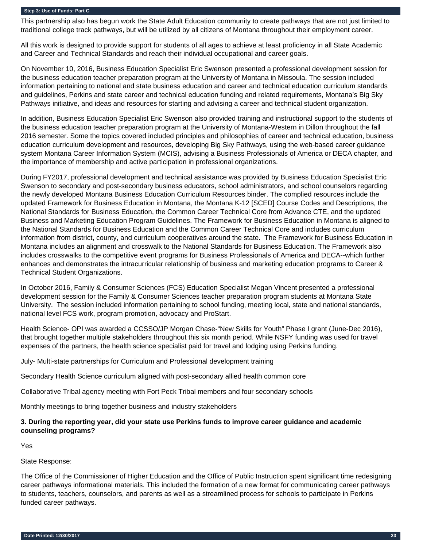This partnership also has begun work the State Adult Education community to create pathways that are not just limited to traditional college track pathways, but will be utilized by all citizens of Montana throughout their employment career.

All this work is designed to provide support for students of all ages to achieve at least proficiency in all State Academic and Career and Technical Standards and reach their individual occupational and career goals.

On November 10, 2016, Business Education Specialist Eric Swenson presented a professional development session for the business education teacher preparation program at the University of Montana in Missoula. The session included information pertaining to national and state business education and career and technical education curriculum standards and guidelines, Perkins and state career and technical education funding and related requirements, Montana's Big Sky Pathways initiative, and ideas and resources for starting and advising a career and technical student organization.

In addition, Business Education Specialist Eric Swenson also provided training and instructional support to the students of the business education teacher preparation program at the University of Montana-Western in Dillon throughout the fall 2016 semester. Some the topics covered included principles and philosophies of career and technical education, business education curriculum development and resources, developing Big Sky Pathways, using the web-based career guidance system Montana Career Information System (MCIS), advising a Business Professionals of America or DECA chapter, and the importance of membership and active participation in professional organizations.

During FY2017, professional development and technical assistance was provided by Business Education Specialist Eric Swenson to secondary and post-secondary business educators, school administrators, and school counselors regarding the newly developed Montana Business Education Curriculum Resources binder. The complied resources include the updated Framework for Business Education in Montana, the Montana K-12 [SCED] Course Codes and Descriptions, the National Standards for Business Education, the Common Career Technical Core from Advance CTE, and the updated Business and Marketing Education Program Guidelines. The Framework for Business Education in Montana is aligned to the National Standards for Business Education and the Common Career Technical Core and includes curriculum information from district, county, and curriculum cooperatives around the state. The Framework for Business Education in Montana includes an alignment and crosswalk to the National Standards for Business Education. The Framework also includes crosswalks to the competitive event programs for Business Professionals of America and DECA--which further enhances and demonstrates the intracurricular relationship of business and marketing education programs to Career & Technical Student Organizations.

In October 2016, Family & Consumer Sciences (FCS) Education Specialist Megan Vincent presented a professional development session for the Family & Consumer Sciences teacher preparation program students at Montana State University. The session included information pertaining to school funding, meeting local, state and national standards, national level FCS work, program promotion, advocacy and ProStart.

Health Science- OPI was awarded a CCSSO/JP Morgan Chase-"New Skills for Youth" Phase I grant (June-Dec 2016), that brought together multiple stakeholders throughout this six month period. While NSFY funding was used for travel expenses of the partners, the health science specialist paid for travel and lodging using Perkins funding.

July- Multi-state partnerships for Curriculum and Professional development training

Secondary Health Science curriculum aligned with post-secondary allied health common core

Collaborative Tribal agency meeting with Fort Peck Tribal members and four secondary schools

Monthly meetings to bring together business and industry stakeholders

## **3. During the reporting year, did your state use Perkins funds to improve career guidance and academic counseling programs?**

Yes

State Response:

The Office of the Commissioner of Higher Education and the Office of Public Instruction spent significant time redesigning career pathways informational materials. This included the formation of a new format for communicating career pathways to students, teachers, counselors, and parents as well as a streamlined process for schools to participate in Perkins funded career pathways.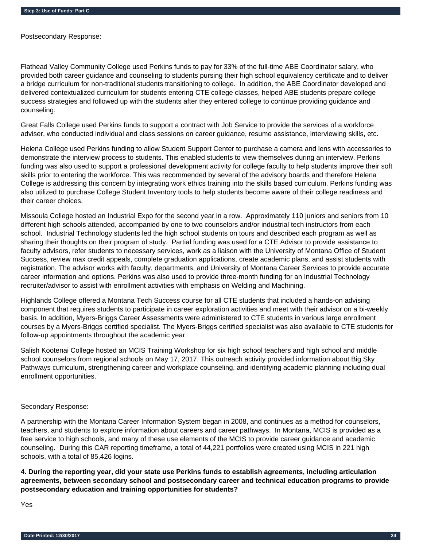Postsecondary Response:

Flathead Valley Community College used Perkins funds to pay for 33% of the full-time ABE Coordinator salary, who provided both career guidance and counseling to students pursing their high school equivalency certificate and to deliver a bridge curriculum for non-traditional students transitioning to college. In addition, the ABE Coordinator developed and delivered contextualized curriculum for students entering CTE college classes, helped ABE students prepare college success strategies and followed up with the students after they entered college to continue providing guidance and counseling.

Great Falls College used Perkins funds to support a contract with Job Service to provide the services of a workforce adviser, who conducted individual and class sessions on career guidance, resume assistance, interviewing skills, etc.

Helena College used Perkins funding to allow Student Support Center to purchase a camera and lens with accessories to demonstrate the interview process to students. This enabled students to view themselves during an interview. Perkins funding was also used to support a professional development activity for college faculty to help students improve their soft skills prior to entering the workforce. This was recommended by several of the advisory boards and therefore Helena College is addressing this concern by integrating work ethics training into the skills based curriculum. Perkins funding was also utilized to purchase College Student Inventory tools to help students become aware of their college readiness and their career choices.

Missoula College hosted an Industrial Expo for the second year in a row. Approximately 110 juniors and seniors from 10 different high schools attended, accompanied by one to two counselors and/or industrial tech instructors from each school. Industrial Technology students led the high school students on tours and described each program as well as sharing their thoughts on their program of study. Partial funding was used for a CTE Advisor to provide assistance to faculty advisors, refer students to necessary services, work as a liaison with the University of Montana Office of Student Success, review max credit appeals, complete graduation applications, create academic plans, and assist students with registration. The advisor works with faculty, departments, and University of Montana Career Services to provide accurate career information and options. Perkins was also used to provide three-month funding for an Industrial Technology recruiter/advisor to assist with enrollment activities with emphasis on Welding and Machining.

Highlands College offered a Montana Tech Success course for all CTE students that included a hands-on advising component that requires students to participate in career exploration activities and meet with their advisor on a bi-weekly basis. In addition, Myers-Briggs Career Assessments were administered to CTE students in various large enrollment courses by a Myers-Briggs certified specialist. The Myers-Briggs certified specialist was also available to CTE students for follow-up appointments throughout the academic year.

Salish Kootenai College hosted an MCIS Training Workshop for six high school teachers and high school and middle school counselors from regional schools on May 17, 2017. This outreach activity provided information about Big Sky Pathways curriculum, strengthening career and workplace counseling, and identifying academic planning including dual enrollment opportunities.

## Secondary Response:

A partnership with the Montana Career Information System began in 2008, and continues as a method for counselors, teachers, and students to explore information about careers and career pathways. In Montana, MCIS is provided as a free service to high schools, and many of these use elements of the MCIS to provide career guidance and academic counseling. During this CAR reporting timeframe, a total of 44,221 portfolios were created using MCIS in 221 high schools, with a total of 85,426 logins.

**4. During the reporting year, did your state use Perkins funds to establish agreements, including articulation agreements, between secondary school and postsecondary career and technical education programs to provide postsecondary education and training opportunities for students?** 

Yes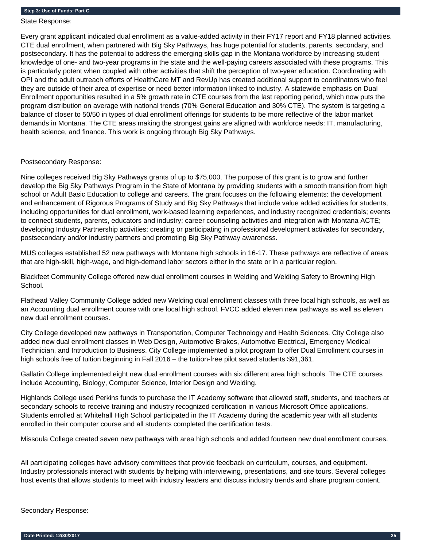State Response:

Every grant applicant indicated dual enrollment as a value-added activity in their FY17 report and FY18 planned activities. CTE dual enrollment, when partnered with Big Sky Pathways, has huge potential for students, parents, secondary, and postsecondary. It has the potential to address the emerging skills gap in the Montana workforce by increasing student knowledge of one- and two-year programs in the state and the well-paying careers associated with these programs. This is particularly potent when coupled with other activities that shift the perception of two-year education. Coordinating with OPI and the adult outreach efforts of HealthCare MT and RevUp has created additional support to coordinators who feel they are outside of their area of expertise or need better information linked to industry. A statewide emphasis on Dual Enrollment opportunities resulted in a 5% growth rate in CTE courses from the last reporting period, which now puts the program distribution on average with national trends (70% General Education and 30% CTE). The system is targeting a balance of closer to 50/50 in types of dual enrollment offerings for students to be more reflective of the labor market demands in Montana. The CTE areas making the strongest gains are aligned with workforce needs: IT, manufacturing, health science, and finance. This work is ongoing through Big Sky Pathways.

Postsecondary Response:

Nine colleges received Big Sky Pathways grants of up to \$75,000. The purpose of this grant is to grow and further develop the Big Sky Pathways Program in the State of Montana by providing students with a smooth transition from high school or Adult Basic Education to college and careers. The grant focuses on the following elements: the development and enhancement of Rigorous Programs of Study and Big Sky Pathways that include value added activities for students, including opportunities for dual enrollment, work-based learning experiences, and industry recognized credentials; events to connect students, parents, educators and industry; career counseling activities and integration with Montana ACTE; developing Industry Partnership activities; creating or participating in professional development activates for secondary, postsecondary and/or industry partners and promoting Big Sky Pathway awareness.

MUS colleges established 52 new pathways with Montana high schools in 16-17. These pathways are reflective of areas that are high-skill, high-wage, and high-demand labor sectors either in the state or in a particular region.

Blackfeet Community College offered new dual enrollment courses in Welding and Welding Safety to Browning High School.

Flathead Valley Community College added new Welding dual enrollment classes with three local high schools, as well as an Accounting dual enrollment course with one local high school. FVCC added eleven new pathways as well as eleven new dual enrollment courses.

City College developed new pathways in Transportation, Computer Technology and Health Sciences. City College also added new dual enrollment classes in Web Design, Automotive Brakes, Automotive Electrical, Emergency Medical Technician, and Introduction to Business. City College implemented a pilot program to offer Dual Enrollment courses in high schools free of tuition beginning in Fall 2016 – the tuition-free pilot saved students \$91,361.

Gallatin College implemented eight new dual enrollment courses with six different area high schools. The CTE courses include Accounting, Biology, Computer Science, Interior Design and Welding.

Highlands College used Perkins funds to purchase the IT Academy software that allowed staff, students, and teachers at secondary schools to receive training and industry recognized certification in various Microsoft Office applications. Students enrolled at Whitehall High School participated in the IT Academy during the academic year with all students enrolled in their computer course and all students completed the certification tests.

Missoula College created seven new pathways with area high schools and added fourteen new dual enrollment courses.

All participating colleges have advisory committees that provide feedback on curriculum, courses, and equipment. Industry professionals interact with students by helping with interviewing, presentations, and site tours. Several colleges host events that allows students to meet with industry leaders and discuss industry trends and share program content.

Secondary Response: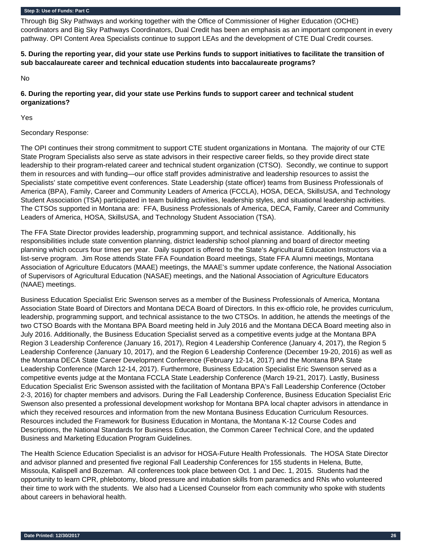Through Big Sky Pathways and working together with the Office of Commissioner of Higher Education (OCHE) coordinators and Big Sky Pathways Coordinators, Dual Credit has been an emphasis as an important component in every pathway. OPI Content Area Specialists continue to support LEAs and the development of CTE Dual Credit courses.

## **5. During the reporting year, did your state use Perkins funds to support initiatives to facilitate the transition of sub baccalaureate career and technical education students into baccalaureate programs?**

No

## **6. During the reporting year, did your state use Perkins funds to support career and technical student organizations?**

Yes

## Secondary Response:

The OPI continues their strong commitment to support CTE student organizations in Montana. The majority of our CTE State Program Specialists also serve as state advisors in their respective career fields, so they provide direct state leadership to their program-related career and technical student organization (CTSO). Secondly, we continue to support them in resources and with funding—our office staff provides administrative and leadership resources to assist the Specialists' state competitive event conferences. State Leadership (state officer) teams from Business Professionals of America (BPA), Family, Career and Community Leaders of America (FCCLA), HOSA, DECA, SkillsUSA, and Technology Student Association (TSA) participated in team building activities, leadership styles, and situational leadership activities. The CTSOs supported in Montana are: FFA, Business Professionals of America, DECA, Family, Career and Community Leaders of America, HOSA, SkillsUSA, and Technology Student Association (TSA).

The FFA State Director provides leadership, programming support, and technical assistance. Additionally, his responsibilities include state convention planning, district leadership school planning and board of director meeting planning which occurs four times per year. Daily support is offered to the State's Agricultural Education Instructors via a list-serve program. Jim Rose attends State FFA Foundation Board meetings, State FFA Alumni meetings, Montana Association of Agriculture Educators (MAAE) meetings, the MAAE's summer update conference, the National Association of Supervisors of Agricultural Education (NASAE) meetings, and the National Association of Agriculture Educators (NAAE) meetings.

Business Education Specialist Eric Swenson serves as a member of the Business Professionals of America, Montana Association State Board of Directors and Montana DECA Board of Directors. In this ex-officio role, he provides curriculum, leadership, programming support, and technical assistance to the two CTSOs. In addition, he attends the meetings of the two CTSO Boards with the Montana BPA Board meeting held in July 2016 and the Montana DECA Board meeting also in July 2016. Additionally, the Business Education Specialist served as a competitive events judge at the Montana BPA Region 3 Leadership Conference (January 16, 2017), Region 4 Leadership Conference (January 4, 2017), the Region 5 Leadership Conference (January 10, 2017), and the Region 6 Leadership Conference (December 19-20, 2016) as well as the Montana DECA State Career Development Conference (February 12-14, 2017) and the Montana BPA State Leadership Conference (March 12-14, 2017). Furthermore, Business Education Specialist Eric Swenson served as a competitive events judge at the Montana FCCLA State Leadership Conference (March 19-21, 2017). Lastly, Business Education Specialist Eric Swenson assisted with the facilitation of Montana BPA's Fall Leadership Conference (October 2-3, 2016) for chapter members and advisors. During the Fall Leadership Conference, Business Education Specialist Eric Swenson also presented a professional development workshop for Montana BPA local chapter advisors in attendance in which they received resources and information from the new Montana Business Education Curriculum Resources. Resources included the Framework for Business Education in Montana, the Montana K-12 Course Codes and Descriptions, the National Standards for Business Education, the Common Career Technical Core, and the updated Business and Marketing Education Program Guidelines.

The Health Science Education Specialist is an advisor for HOSA-Future Health Professionals. The HOSA State Director and advisor planned and presented five regional Fall Leadership Conferences for 155 students in Helena, Butte, Missoula, Kalispell and Bozeman. All conferences took place between Oct. 1 and Dec. 1, 2015. Students had the opportunity to learn CPR, phlebotomy, blood pressure and intubation skills from paramedics and RNs who volunteered their time to work with the students. We also had a Licensed Counselor from each community who spoke with students about careers in behavioral health.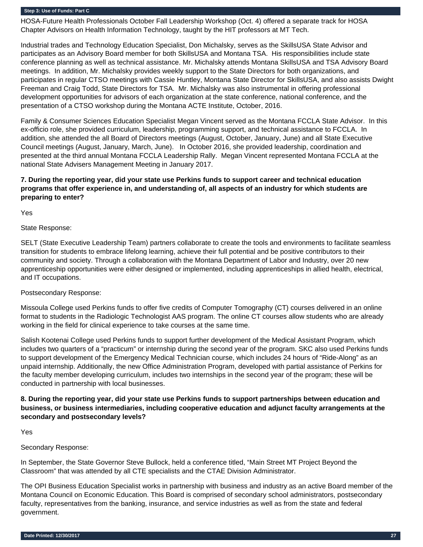HOSA-Future Health Professionals October Fall Leadership Workshop (Oct. 4) offered a separate track for HOSA Chapter Advisors on Health Information Technology, taught by the HIT professors at MT Tech.

Industrial trades and Technology Education Specialist, Don Michalsky, serves as the SkillsUSA State Advisor and participates as an Advisory Board member for both SkillsUSA and Montana TSA. His responsibilities include state conference planning as well as technical assistance. Mr. Michalsky attends Montana SkillsUSA and TSA Advisory Board meetings. In addition, Mr. Michalsky provides weekly support to the State Directors for both organizations, and participates in regular CTSO meetings with Cassie Huntley, Montana State Director for SkillsUSA, and also assists Dwight Freeman and Craig Todd, State Directors for TSA. Mr. Michalsky was also instrumental in offering professional development opportunities for advisors of each organization at the state conference, national conference, and the presentation of a CTSO workshop during the Montana ACTE Institute, October, 2016.

Family & Consumer Sciences Education Specialist Megan Vincent served as the Montana FCCLA State Advisor. In this ex-officio role, she provided curriculum, leadership, programming support, and technical assistance to FCCLA. In addition, she attended the all Board of Directors meetings (August, October, January, June) and all State Executive Council meetings (August, January, March, June). In October 2016, she provided leadership, coordination and presented at the third annual Montana FCCLA Leadership Rally. Megan Vincent represented Montana FCCLA at the national State Advisers Management Meeting in January 2017.

## **7. During the reporting year, did your state use Perkins funds to support career and technical education programs that offer experience in, and understanding of, all aspects of an industry for which students are preparing to enter?**

Yes

## State Response:

SELT (State Executive Leadership Team) partners collaborate to create the tools and environments to facilitate seamless transition for students to embrace lifelong learning, achieve their full potential and be positive contributors to their community and society. Through a collaboration with the Montana Department of Labor and Industry, over 20 new apprenticeship opportunities were either designed or implemented, including apprenticeships in allied health, electrical, and IT occupations.

## Postsecondary Response:

Missoula College used Perkins funds to offer five credits of Computer Tomography (CT) courses delivered in an online format to students in the Radiologic Technologist AAS program. The online CT courses allow students who are already working in the field for clinical experience to take courses at the same time.

Salish Kootenai College used Perkins funds to support further development of the Medical Assistant Program, which includes two quarters of a "practicum" or internship during the second year of the program. SKC also used Perkins funds to support development of the Emergency Medical Technician course, which includes 24 hours of "Ride-Along" as an unpaid internship. Additionally, the new Office Administration Program, developed with partial assistance of Perkins for the faculty member developing curriculum, includes two internships in the second year of the program; these will be conducted in partnership with local businesses.

## **8. During the reporting year, did your state use Perkins funds to support partnerships between education and business, or business intermediaries, including cooperative education and adjunct faculty arrangements at the secondary and postsecondary levels?**

Yes

## Secondary Response:

In September, the State Governor Steve Bullock, held a conference titled, "Main Street MT Project Beyond the Classroom" that was attended by all CTE specialists and the CTAE Division Administrator.

The OPI Business Education Specialist works in partnership with business and industry as an active Board member of the Montana Council on Economic Education. This Board is comprised of secondary school administrators, postsecondary faculty, representatives from the banking, insurance, and service industries as well as from the state and federal government.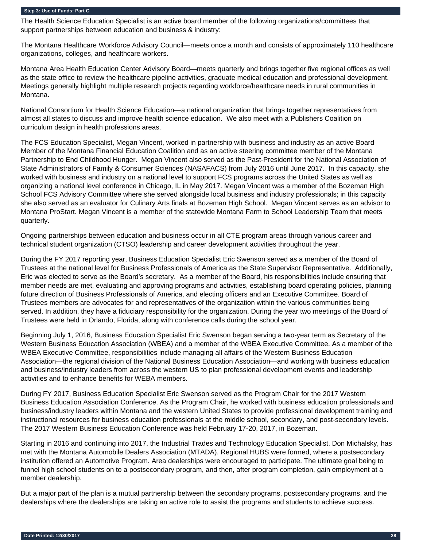The Health Science Education Specialist is an active board member of the following organizations/committees that support partnerships between education and business & industry:

The Montana Healthcare Workforce Advisory Council—meets once a month and consists of approximately 110 healthcare organizations, colleges, and healthcare workers.

Montana Area Health Education Center Advisory Board—meets quarterly and brings together five regional offices as well as the state office to review the healthcare pipeline activities, graduate medical education and professional development. Meetings generally highlight multiple research projects regarding workforce/healthcare needs in rural communities in Montana.

National Consortium for Health Science Education—a national organization that brings together representatives from almost all states to discuss and improve health science education. We also meet with a Publishers Coalition on curriculum design in health professions areas.

The FCS Education Specialist, Megan Vincent, worked in partnership with business and industry as an active Board Member of the Montana Financial Education Coalition and as an active steering committee member of the Montana Partnership to End Childhood Hunger. Megan Vincent also served as the Past-President for the National Association of State Administrators of Family & Consumer Sciences (NASAFACS) from July 2016 until June 2017. In this capacity, she worked with business and industry on a national level to support FCS programs across the United States as well as organizing a national level conference in Chicago, IL in May 2017. Megan Vincent was a member of the Bozeman High School FCS Advisory Committee where she served alongside local business and industry professionals; in this capacity she also served as an evaluator for Culinary Arts finals at Bozeman High School. Megan Vincent serves as an advisor to Montana ProStart. Megan Vincent is a member of the statewide Montana Farm to School Leadership Team that meets quarterly.

Ongoing partnerships between education and business occur in all CTE program areas through various career and technical student organization (CTSO) leadership and career development activities throughout the year.

During the FY 2017 reporting year, Business Education Specialist Eric Swenson served as a member of the Board of Trustees at the national level for Business Professionals of America as the State Supervisor Representative. Additionally, Eric was elected to serve as the Board's secretary. As a member of the Board, his responsibilities include ensuring that member needs are met, evaluating and approving programs and activities, establishing board operating policies, planning future direction of Business Professionals of America, and electing officers and an Executive Committee. Board of Trustees members are advocates for and representatives of the organization within the various communities being served. In addition, they have a fiduciary responsibility for the organization. During the year two meetings of the Board of Trustees were held in Orlando, Florida, along with conference calls during the school year.

Beginning July 1, 2016, Business Education Specialist Eric Swenson began serving a two-year term as Secretary of the Western Business Education Association (WBEA) and a member of the WBEA Executive Committee. As a member of the WBEA Executive Committee, responsibilities include managing all affairs of the Western Business Education Association—the regional division of the National Business Education Association—and working with business education and business/industry leaders from across the western US to plan professional development events and leadership activities and to enhance benefits for WEBA members.

During FY 2017, Business Education Specialist Eric Swenson served as the Program Chair for the 2017 Western Business Education Association Conference. As the Program Chair, he worked with business education professionals and business/industry leaders within Montana and the western United States to provide professional development training and instructional resources for business education professionals at the middle school, secondary, and post-secondary levels. The 2017 Western Business Education Conference was held February 17-20, 2017, in Bozeman.

Starting in 2016 and continuing into 2017, the Industrial Trades and Technology Education Specialist, Don Michalsky, has met with the Montana Automobile Dealers Association (MTADA). Regional HUBS were formed, where a postsecondary institution offered an Automotive Program. Area dealerships were encouraged to participate. The ultimate goal being to funnel high school students on to a postsecondary program, and then, after program completion, gain employment at a member dealership.

But a major part of the plan is a mutual partnership between the secondary programs, postsecondary programs, and the dealerships where the dealerships are taking an active role to assist the programs and students to achieve success.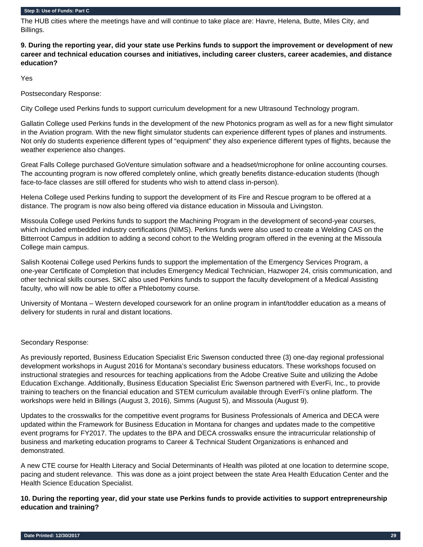The HUB cities where the meetings have and will continue to take place are: Havre, Helena, Butte, Miles City, and Billings.

**9. During the reporting year, did your state use Perkins funds to support the improvement or development of new career and technical education courses and initiatives, including career clusters, career academies, and distance education?** 

Yes

Postsecondary Response:

City College used Perkins funds to support curriculum development for a new Ultrasound Technology program.

Gallatin College used Perkins funds in the development of the new Photonics program as well as for a new flight simulator in the Aviation program. With the new flight simulator students can experience different types of planes and instruments. Not only do students experience different types of "equipment" they also experience different types of flights, because the weather experience also changes.

Great Falls College purchased GoVenture simulation software and a headset/microphone for online accounting courses. The accounting program is now offered completely online, which greatly benefits distance-education students (though face-to-face classes are still offered for students who wish to attend class in-person).

Helena College used Perkins funding to support the development of its Fire and Rescue program to be offered at a distance. The program is now also being offered via distance education in Missoula and Livingston.

Missoula College used Perkins funds to support the Machining Program in the development of second-year courses, which included embedded industry certifications (NIMS). Perkins funds were also used to create a Welding CAS on the Bitterroot Campus in addition to adding a second cohort to the Welding program offered in the evening at the Missoula College main campus.

Salish Kootenai College used Perkins funds to support the implementation of the Emergency Services Program, a one-year Certificate of Completion that includes Emergency Medical Technician, Hazwoper 24, crisis communication, and other technical skills courses. SKC also used Perkins funds to support the faculty development of a Medical Assisting faculty, who will now be able to offer a Phlebotomy course.

University of Montana – Western developed coursework for an online program in infant/toddler education as a means of delivery for students in rural and distant locations.

#### Secondary Response:

As previously reported, Business Education Specialist Eric Swenson conducted three (3) one-day regional professional development workshops in August 2016 for Montana's secondary business educators. These workshops focused on instructional strategies and resources for teaching applications from the Adobe Creative Suite and utilizing the Adobe Education Exchange. Additionally, Business Education Specialist Eric Swenson partnered with EverFi, Inc., to provide training to teachers on the financial education and STEM curriculum available through EverFi's online platform. The workshops were held in Billings (August 3, 2016), Simms (August 5), and Missoula (August 9).

Updates to the crosswalks for the competitive event programs for Business Professionals of America and DECA were updated within the Framework for Business Education in Montana for changes and updates made to the competitive event programs for FY2017. The updates to the BPA and DECA crosswalks ensure the intracurricular relationship of business and marketing education programs to Career & Technical Student Organizations is enhanced and demonstrated.

A new CTE course for Health Literacy and Social Determinants of Health was piloted at one location to determine scope, pacing and student relevance. This was done as a joint project between the state Area Health Education Center and the Health Science Education Specialist.

**10. During the reporting year, did your state use Perkins funds to provide activities to support entrepreneurship education and training?**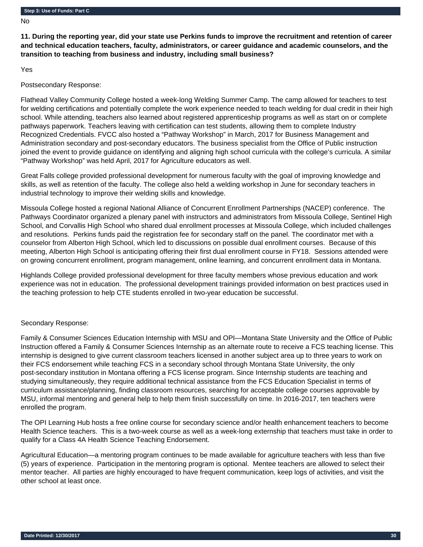No

**11. During the reporting year, did your state use Perkins funds to improve the recruitment and retention of career and technical education teachers, faculty, administrators, or career guidance and academic counselors, and the transition to teaching from business and industry, including small business?** 

Yes

Postsecondary Response:

Flathead Valley Community College hosted a week-long Welding Summer Camp. The camp allowed for teachers to test for welding certifications and potentially complete the work experience needed to teach welding for dual credit in their high school. While attending, teachers also learned about registered apprenticeship programs as well as start on or complete pathways paperwork. Teachers leaving with certification can test students, allowing them to complete Industry Recognized Credentials. FVCC also hosted a "Pathway Workshop" in March, 2017 for Business Management and Administration secondary and post-secondary educators. The business specialist from the Office of Public instruction joined the event to provide guidance on identifying and aligning high school curricula with the college's curricula. A similar "Pathway Workshop" was held April, 2017 for Agriculture educators as well.

Great Falls college provided professional development for numerous faculty with the goal of improving knowledge and skills, as well as retention of the faculty. The college also held a welding workshop in June for secondary teachers in industrial technology to improve their welding skills and knowledge.

Missoula College hosted a regional National Alliance of Concurrent Enrollment Partnerships (NACEP) conference. The Pathways Coordinator organized a plenary panel with instructors and administrators from Missoula College, Sentinel High School, and Corvallis High School who shared dual enrollment processes at Missoula College, which included challenges and resolutions. Perkins funds paid the registration fee for secondary staff on the panel. The coordinator met with a counselor from Alberton High School, which led to discussions on possible dual enrollment courses. Because of this meeting, Alberton High School is anticipating offering their first dual enrollment course in FY18. Sessions attended were on growing concurrent enrollment, program management, online learning, and concurrent enrollment data in Montana.

Highlands College provided professional development for three faculty members whose previous education and work experience was not in education. The professional development trainings provided information on best practices used in the teaching profession to help CTE students enrolled in two-year education be successful.

## Secondary Response:

Family & Consumer Sciences Education Internship with MSU and OPI—Montana State University and the Office of Public Instruction offered a Family & Consumer Sciences Internship as an alternate route to receive a FCS teaching license. This internship is designed to give current classroom teachers licensed in another subject area up to three years to work on their FCS endorsement while teaching FCS in a secondary school through Montana State University, the only post-secondary institution in Montana offering a FCS license program. Since Internship students are teaching and studying simultaneously, they require additional technical assistance from the FCS Education Specialist in terms of curriculum assistance/planning, finding classroom resources, searching for acceptable college courses approvable by MSU, informal mentoring and general help to help them finish successfully on time. In 2016-2017, ten teachers were enrolled the program.

The OPI Learning Hub hosts a free online course for secondary science and/or health enhancement teachers to become Health Science teachers. This is a two-week course as well as a week-long externship that teachers must take in order to qualify for a Class 4A Health Science Teaching Endorsement.

Agricultural Education—a mentoring program continues to be made available for agriculture teachers with less than five (5) years of experience. Participation in the mentoring program is optional. Mentee teachers are allowed to select their mentor teacher. All parties are highly encouraged to have frequent communication, keep logs of activities, and visit the other school at least once.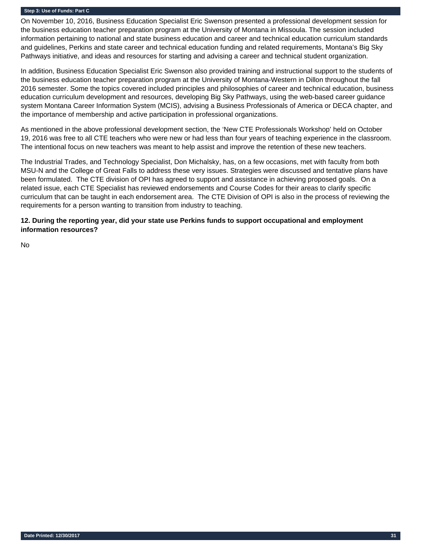On November 10, 2016, Business Education Specialist Eric Swenson presented a professional development session for the business education teacher preparation program at the University of Montana in Missoula. The session included information pertaining to national and state business education and career and technical education curriculum standards and guidelines, Perkins and state career and technical education funding and related requirements, Montana's Big Sky Pathways initiative, and ideas and resources for starting and advising a career and technical student organization.

In addition, Business Education Specialist Eric Swenson also provided training and instructional support to the students of the business education teacher preparation program at the University of Montana-Western in Dillon throughout the fall 2016 semester. Some the topics covered included principles and philosophies of career and technical education, business education curriculum development and resources, developing Big Sky Pathways, using the web-based career guidance system Montana Career Information System (MCIS), advising a Business Professionals of America or DECA chapter, and the importance of membership and active participation in professional organizations.

As mentioned in the above professional development section, the 'New CTE Professionals Workshop' held on October 19, 2016 was free to all CTE teachers who were new or had less than four years of teaching experience in the classroom. The intentional focus on new teachers was meant to help assist and improve the retention of these new teachers.

The Industrial Trades, and Technology Specialist, Don Michalsky, has, on a few occasions, met with faculty from both MSU-N and the College of Great Falls to address these very issues. Strategies were discussed and tentative plans have been formulated. The CTE division of OPI has agreed to support and assistance in achieving proposed goals. On a related issue, each CTE Specialist has reviewed endorsements and Course Codes for their areas to clarify specific curriculum that can be taught in each endorsement area. The CTE Division of OPI is also in the process of reviewing the requirements for a person wanting to transition from industry to teaching.

**12. During the reporting year, did your state use Perkins funds to support occupational and employment information resources?** 

No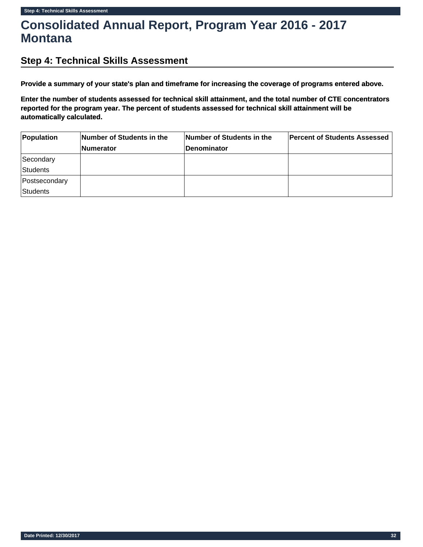# **Consolidated Annual Report, Program Year 2016 - 2017 Montana**

## **Step 4: Technical Skills Assessment**

**Provide a summary of your state's plan and timeframe for increasing the coverage of programs entered above.**

**Enter the number of students assessed for technical skill attainment, and the total number of CTE concentrators reported for the program year. The percent of students assessed for technical skill attainment will be automatically calculated.**

| Population      | Number of Students in the | Number of Students in the | <b>Percent of Students Assessed</b> |  |
|-----------------|---------------------------|---------------------------|-------------------------------------|--|
|                 | <b>Numerator</b>          | <b>Denominator</b>        |                                     |  |
| Secondary       |                           |                           |                                     |  |
| <b>Students</b> |                           |                           |                                     |  |
| Postsecondary   |                           |                           |                                     |  |
| <b>Students</b> |                           |                           |                                     |  |